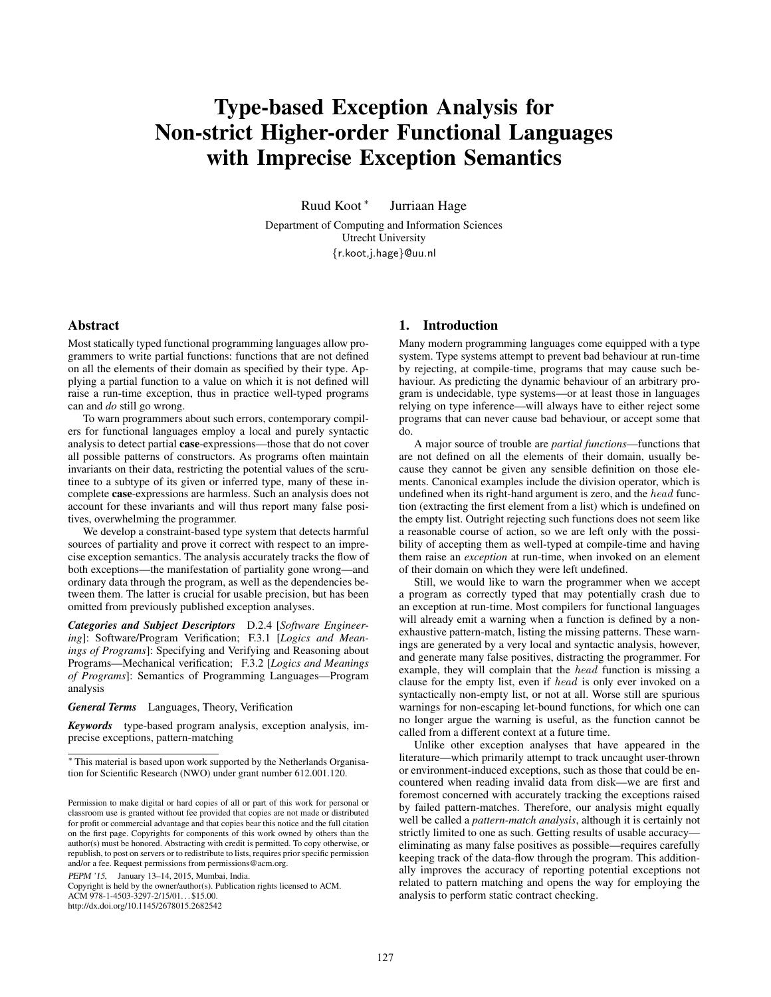# Type-based Exception Analysis for Non-strict Higher-order Functional Languages with Imprecise Exception Semantics

Ruud Koot <sup>∗</sup> Jurriaan Hage

Department of Computing and Information Sciences Utrecht University {r.koot,j.hage}@uu.nl

# Abstract

Most statically typed functional programming languages allow programmers to write partial functions: functions that are not defined on all the elements of their domain as specified by their type. Applying a partial function to a value on which it is not defined will raise a run-time exception, thus in practice well-typed programs can and *do* still go wrong.

To warn programmers about such errors, contemporary compilers for functional languages employ a local and purely syntactic analysis to detect partial case-expressions—those that do not cover all possible patterns of constructors. As programs often maintain invariants on their data, restricting the potential values of the scrutinee to a subtype of its given or inferred type, many of these incomplete case-expressions are harmless. Such an analysis does not account for these invariants and will thus report many false positives, overwhelming the programmer.

We develop a constraint-based type system that detects harmful sources of partiality and prove it correct with respect to an imprecise exception semantics. The analysis accurately tracks the flow of both exceptions—the manifestation of partiality gone wrong—and ordinary data through the program, as well as the dependencies between them. The latter is crucial for usable precision, but has been omitted from previously published exception analyses.

*Categories and Subject Descriptors* D.2.4 [*Software Engineering*]: Software/Program Verification; F.3.1 [*Logics and Meanings of Programs*]: Specifying and Verifying and Reasoning about Programs—Mechanical verification; F.3.2 [*Logics and Meanings of Programs*]: Semantics of Programming Languages—Program analysis

*General Terms* Languages, Theory, Verification

*Keywords* type-based program analysis, exception analysis, imprecise exceptions, pattern-matching

PEPM '15, January 13–14, 2015, Mumbai, India.

Copyright is held by the owner/author(s). Publication rights licensed to ACM. ACM 978-1-4503-3297-2/15/01... \$15.00. http://dx.doi.org/10.1145/2678015.2682542

## 1. Introduction

Many modern programming languages come equipped with a type system. Type systems attempt to prevent bad behaviour at run-time by rejecting, at compile-time, programs that may cause such behaviour. As predicting the dynamic behaviour of an arbitrary program is undecidable, type systems—or at least those in languages relying on type inference—will always have to either reject some programs that can never cause bad behaviour, or accept some that do.

A major source of trouble are *partial functions*—functions that are not defined on all the elements of their domain, usually because they cannot be given any sensible definition on those elements. Canonical examples include the division operator, which is undefined when its right-hand argument is zero, and the head function (extracting the first element from a list) which is undefined on the empty list. Outright rejecting such functions does not seem like a reasonable course of action, so we are left only with the possibility of accepting them as well-typed at compile-time and having them raise an *exception* at run-time, when invoked on an element of their domain on which they were left undefined.

Still, we would like to warn the programmer when we accept a program as correctly typed that may potentially crash due to an exception at run-time. Most compilers for functional languages will already emit a warning when a function is defined by a nonexhaustive pattern-match, listing the missing patterns. These warnings are generated by a very local and syntactic analysis, however, and generate many false positives, distracting the programmer. For example, they will complain that the head function is missing a clause for the empty list, even if head is only ever invoked on a syntactically non-empty list, or not at all. Worse still are spurious warnings for non-escaping let-bound functions, for which one can no longer argue the warning is useful, as the function cannot be called from a different context at a future time.

Unlike other exception analyses that have appeared in the literature—which primarily attempt to track uncaught user-thrown or environment-induced exceptions, such as those that could be encountered when reading invalid data from disk—we are first and foremost concerned with accurately tracking the exceptions raised by failed pattern-matches. Therefore, our analysis might equally well be called a *pattern-match analysis*, although it is certainly not strictly limited to one as such. Getting results of usable accuracy eliminating as many false positives as possible—requires carefully keeping track of the data-flow through the program. This additionally improves the accuracy of reporting potential exceptions not related to pattern matching and opens the way for employing the analysis to perform static contract checking.

<sup>∗</sup> This material is based upon work supported by the Netherlands Organisation for Scientific Research (NWO) under grant number 612.001.120.

Permission to make digital or hard copies of all or part of this work for personal or classroom use is granted without fee provided that copies are not made or distributed for profit or commercial advantage and that copies bear this notice and the full citation on the first page. Copyrights for components of this work owned by others than the author(s) must be honored. Abstracting with credit is permitted. To copy otherwise, or republish, to post on servers or to redistribute to lists, requires prior specific permission and/or a fee. Request permissions from permissions@acm.org.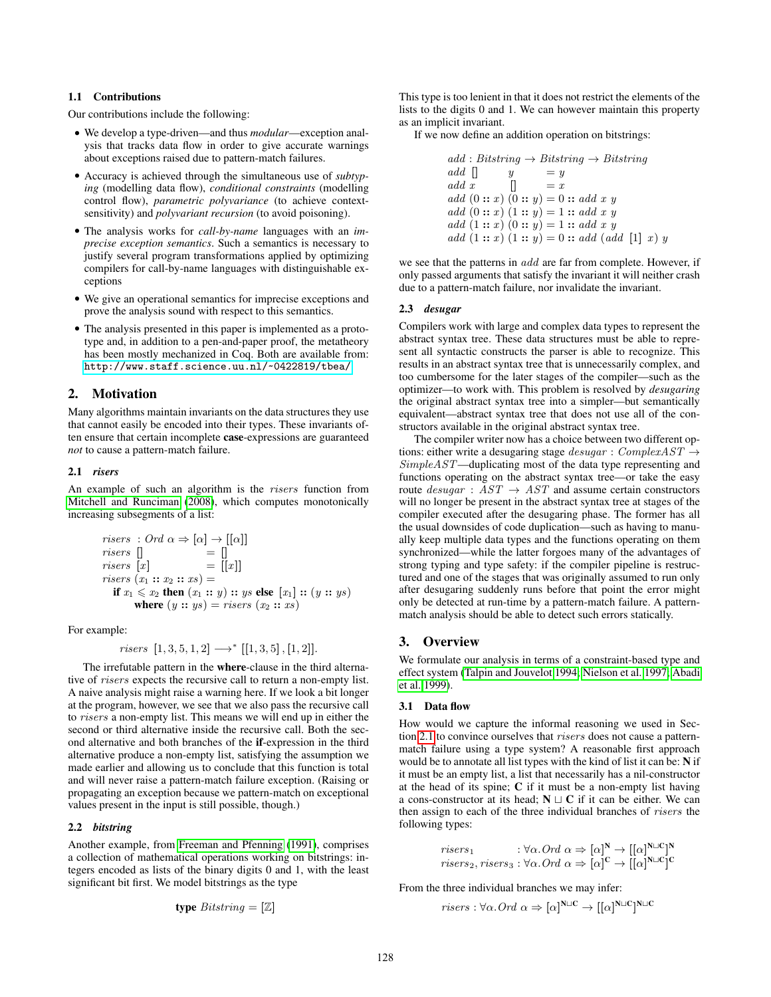# <span id="page-1-2"></span>1.1 Contributions

Our contributions include the following:

- We develop a type-driven—and thus *modular*—exception analysis that tracks data flow in order to give accurate warnings about exceptions raised due to pattern-match failures.
- Accuracy is achieved through the simultaneous use of *subtyping* (modelling data flow), *conditional constraints* (modelling control flow), *parametric polyvariance* (to achieve contextsensitivity) and *polyvariant recursion* (to avoid poisoning).
- The analysis works for *call-by-name* languages with an *imprecise exception semantics*. Such a semantics is necessary to justify several program transformations applied by optimizing compilers for call-by-name languages with distinguishable exceptions
- We give an operational semantics for imprecise exceptions and prove the analysis sound with respect to this semantics.
- The analysis presented in this paper is implemented as a prototype and, in addition to a pen-and-paper proof, the metatheory has been mostly mechanized in Coq. Both are available from: <http://www.staff.science.uu.nl/~0422819/tbea/>.

## <span id="page-1-1"></span>2. Motivation

Many algorithms maintain invariants on the data structures they use that cannot easily be encoded into their types. These invariants often ensure that certain incomplete case-expressions are guaranteed *not* to cause a pattern-match failure.

## <span id="page-1-0"></span>2.1 *risers*

An example of such an algorithm is the risers function from [Mitchell and Runciman](#page-11-0) [\(2008\)](#page-11-0), which computes monotonically increasing subsegments of a list:

risers : Ord 
$$
\alpha \Rightarrow [\alpha] \rightarrow [[\alpha]]
$$
  
\nrisers [] = []  
\nrisers [x] = [[x]]  
\nrisers (x<sub>1</sub> :: x<sub>2</sub> :: xs) =  
\nif x<sub>1</sub>  $\leq$  x<sub>2</sub> then (x<sub>1</sub> :: y) :: ys **else** [x<sub>1</sub>] :: (y :: ys)  
\nwhere (y :: ys) = risers (x<sub>2</sub> :: xs)

For example:

*risers* 
$$
[1, 3, 5, 1, 2] \longrightarrow
$$
<sup>\*</sup>  $[[1, 3, 5], [1, 2]].$ 

The irrefutable pattern in the where-clause in the third alternative of *risers* expects the recursive call to return a non-empty list. A naive analysis might raise a warning here. If we look a bit longer at the program, however, we see that we also pass the recursive call to risers a non-empty list. This means we will end up in either the second or third alternative inside the recursive call. Both the second alternative and both branches of the if-expression in the third alternative produce a non-empty list, satisfying the assumption we made earlier and allowing us to conclude that this function is total and will never raise a pattern-match failure exception. (Raising or propagating an exception because we pattern-match on exceptional values present in the input is still possible, though.)

### 2.2 *bitstring*

Another example, from [Freeman and Pfenning](#page-11-1) [\(1991\)](#page-11-1), comprises a collection of mathematical operations working on bitstrings: integers encoded as lists of the binary digits 0 and 1, with the least significant bit first. We model bitstrings as the type

$$
type\; Bitstring = [\mathbb{Z}]
$$

This type is too lenient in that it does not restrict the elements of the lists to the digits 0 and 1. We can however maintain this property as an implicit invariant.

If we now define an addition operation on bitstrings:

 $add : Bitstring \rightarrow Bitstring \rightarrow Bitstring$ add  $|$  y = y add x  $\qquad$   $\qquad$   $\qquad$   $\qquad$   $\qquad$   $\qquad$   $\qquad$   $\qquad$   $\qquad$   $\qquad$   $\qquad$   $\qquad$   $\qquad$   $\qquad$   $\qquad$   $\qquad$   $\qquad$   $\qquad$   $\qquad$   $\qquad$   $\qquad$   $\qquad$   $\qquad$   $\qquad$   $\qquad$   $\qquad$   $\qquad$   $\qquad$   $\qquad$   $\qquad$   $\qquad$   $\qquad$   $\qquad$   $\qquad$   $\qquad$   $\qquad$ add  $(0:: x) (0:: y) = 0 :: add x y$ add  $(0:: x) (1:: y) = 1:: add x y$ add  $(1:: x) (0:: y) = 1:: add x y$ add  $(1:: x) (1:: y) = 0 :: add (add [1] x) y$ 

we see that the patterns in add are far from complete. However, if only passed arguments that satisfy the invariant it will neither crash due to a pattern-match failure, nor invalidate the invariant.

## <span id="page-1-3"></span>2.3 *desugar*

Compilers work with large and complex data types to represent the abstract syntax tree. These data structures must be able to represent all syntactic constructs the parser is able to recognize. This results in an abstract syntax tree that is unnecessarily complex, and too cumbersome for the later stages of the compiler—such as the optimizer—to work with. This problem is resolved by *desugaring* the original abstract syntax tree into a simpler—but semantically equivalent—abstract syntax tree that does not use all of the constructors available in the original abstract syntax tree.

The compiler writer now has a choice between two different options: either write a desugaring stage  $desugar : ComplexAST \rightarrow$ SimpleAST—duplicating most of the data type representing and functions operating on the abstract syntax tree—or take the easy route  $desugar : AST \rightarrow AST$  and assume certain constructors will no longer be present in the abstract syntax tree at stages of the compiler executed after the desugaring phase. The former has all the usual downsides of code duplication—such as having to manually keep multiple data types and the functions operating on them synchronized—while the latter forgoes many of the advantages of strong typing and type safety: if the compiler pipeline is restructured and one of the stages that was originally assumed to run only after desugaring suddenly runs before that point the error might only be detected at run-time by a pattern-match failure. A patternmatch analysis should be able to detect such errors statically.

# 3. Overview

We formulate our analysis in terms of a constraint-based type and effect system [\(Talpin and Jouvelot 1994;](#page-11-2) [Nielson et al. 1997;](#page-11-3) [Abadi](#page-11-4) [et al. 1999\)](#page-11-4).

#### 3.1 Data flow

How would we capture the informal reasoning we used in Section [2.1](#page-1-0) to convince ourselves that risers does not cause a patternmatch failure using a type system? A reasonable first approach would be to annotate all list types with the kind of list it can be: N if it must be an empty list, a list that necessarily has a nil-constructor at the head of its spine; C if it must be a non-empty list having a cons-constructor at its head;  $N \sqcup C$  if it can be either. We can then assign to each of the three individual branches of risers the following types:

risers<sub>1</sub> 
$$
\qquad : \forall \alpha . Ord \alpha \Rightarrow [\alpha]^N \rightarrow [[\alpha]^{N \sqcup C}]^N
$$
  
risers<sub>2</sub>, risers<sub>3</sub> :  $\forall \alpha . Ord \alpha \Rightarrow [\alpha]^C \rightarrow [[\alpha]^{N \sqcup C}]^C$ 

From the three individual branches we may infer:

*risers* : 
$$
\forall \alpha
$$
. *Ord*  $\alpha \Rightarrow [\alpha]^{N \sqcup C} \rightarrow [[\alpha]^{N \sqcup C}]^{N \sqcup C}$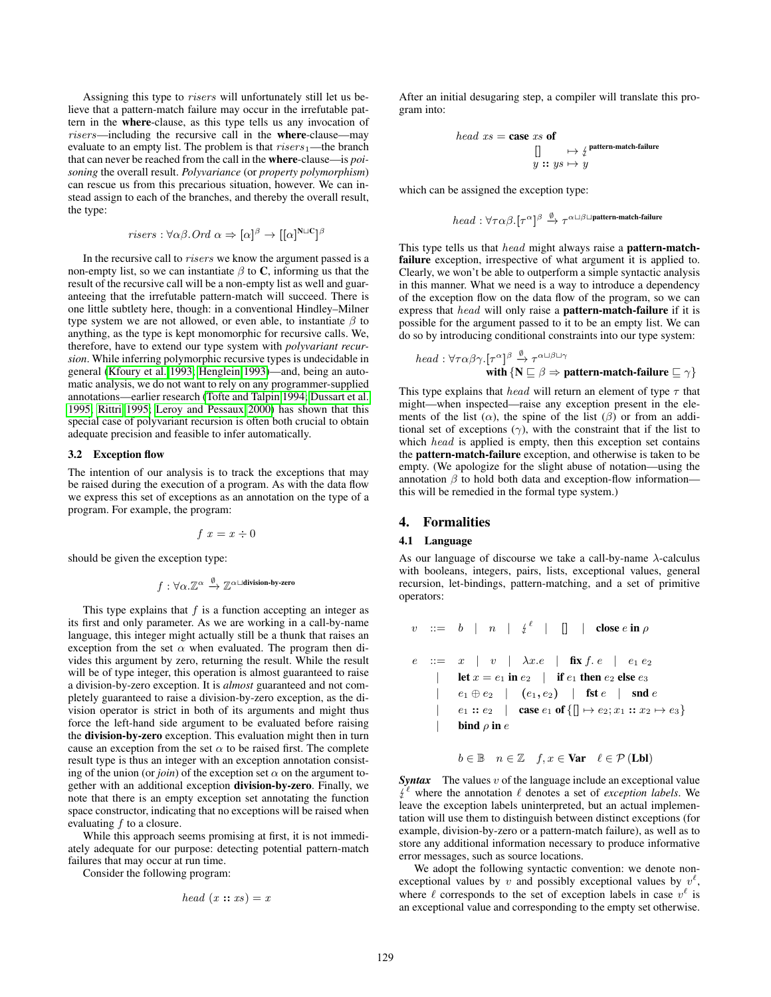Assigning this type to risers will unfortunately still let us believe that a pattern-match failure may occur in the irrefutable pattern in the where-clause, as this type tells us any invocation of risers—including the recursive call in the where-clause—may evaluate to an empty list. The problem is that  $r$ *isers*<sup>1</sup>—the branch that can never be reached from the call in the where-clause—is *poisoning* the overall result. *Polyvariance* (or *property polymorphism*) can rescue us from this precarious situation, however. We can instead assign to each of the branches, and thereby the overall result, the type:

*risers* : 
$$
\forall \alpha \beta
$$
. *Ord*  $\alpha \Rightarrow [\alpha]^{\beta} \rightarrow [[\alpha]^{\mathbf{N} \sqcup \mathbf{C}}]^{\beta}$ 

In the recursive call to risers we know the argument passed is a non-empty list, so we can instantiate  $\beta$  to C, informing us that the result of the recursive call will be a non-empty list as well and guaranteeing that the irrefutable pattern-match will succeed. There is one little subtlety here, though: in a conventional Hindley–Milner type system we are not allowed, or even able, to instantiate  $\beta$  to anything, as the type is kept monomorphic for recursive calls. We, therefore, have to extend our type system with *polyvariant recursion*. While inferring polymorphic recursive types is undecidable in general [\(Kfoury et al. 1993;](#page-11-5) [Henglein 1993\)](#page-11-6)—and, being an automatic analysis, we do not want to rely on any programmer-supplied annotations—earlier research [\(Tofte and Talpin 1994;](#page-11-7) [Dussart et al.](#page-11-8) [1995;](#page-11-8) [Rittri 1995;](#page-11-9) [Leroy and Pessaux 2000\)](#page-11-10) has shown that this special case of polyvariant recursion is often both crucial to obtain adequate precision and feasible to infer automatically.

#### 3.2 Exception flow

The intention of our analysis is to track the exceptions that may be raised during the execution of a program. As with the data flow we express this set of exceptions as an annotation on the type of a program. For example, the program:

$$
f\ x = x \div 0
$$

should be given the exception type:

$$
f: \forall \alpha . \mathbb{Z}^{\alpha} \xrightarrow{\emptyset} \mathbb{Z}^{\alpha \sqcup \text{division-by-zero}}
$$

This type explains that  $f$  is a function accepting an integer as its first and only parameter. As we are working in a call-by-name language, this integer might actually still be a thunk that raises an exception from the set  $\alpha$  when evaluated. The program then divides this argument by zero, returning the result. While the result will be of type integer, this operation is almost guaranteed to raise a division-by-zero exception. It is *almost* guaranteed and not completely guaranteed to raise a division-by-zero exception, as the division operator is strict in both of its arguments and might thus force the left-hand side argument to be evaluated before raising the division-by-zero exception. This evaluation might then in turn cause an exception from the set  $\alpha$  to be raised first. The complete result type is thus an integer with an exception annotation consisting of the union (or *join*) of the exception set  $\alpha$  on the argument together with an additional exception division-by-zero. Finally, we note that there is an empty exception set annotating the function space constructor, indicating that no exceptions will be raised when evaluating  $f$  to a closure.

While this approach seems promising at first, it is not immediately adequate for our purpose: detecting potential pattern-match failures that may occur at run time.

Consider the following program:

$$
head(x::xs) = x
$$

After an initial desugaring step, a compiler will translate this program into:

*head* 
$$
xs
$$
 = **case**  $xs$  **of**  
\n
$$
\begin{array}{c}\n\prod_{y \text{ } is \text{ } y \text{ } sy \text{ } \mapsto \text{ } y} \text{ pattern-match-failure}\n\end{array}
$$

which can be assigned the exception type:

$$
head: \forall \tau \alpha \beta . [\tau^{\alpha}]^{\beta} \xrightarrow{\emptyset} \tau^{\alpha \sqcup \beta \sqcup \text{pattern-match-failure}}
$$

This type tells us that head might always raise a **pattern-match**failure exception, irrespective of what argument it is applied to. Clearly, we won't be able to outperform a simple syntactic analysis in this manner. What we need is a way to introduce a dependency of the exception flow on the data flow of the program, so we can express that *head* will only raise a **pattern-match-failure** if it is possible for the argument passed to it to be an empty list. We can do so by introducing conditional constraints into our type system:

*head* : 
$$
\forall \tau \alpha \beta \gamma
$$
. [ $\tau^{\alpha}$ ]  $\stackrel{\beta}{\rightarrow}$   $\tau^{\alpha \sqcup \beta \sqcup \gamma}$   
with {**N**  $\sqsubseteq \beta \Rightarrow$  pattern-match-failure  $\sqsubseteq \gamma$ }

This type explains that *head* will return an element of type  $\tau$  that might—when inspected—raise any exception present in the elements of the list  $(\alpha)$ , the spine of the list  $(\beta)$  or from an additional set of exceptions  $(\gamma)$ , with the constraint that if the list to which *head* is applied is empty, then this exception set contains the pattern-match-failure exception, and otherwise is taken to be empty. (We apologize for the slight abuse of notation—using the annotation  $\beta$  to hold both data and exception-flow information this will be remedied in the formal type system.)

## 4. Formalities

#### 4.1 Language

As our language of discourse we take a call-by-name  $\lambda$ -calculus with booleans, integers, pairs, lists, exceptional values, general recursion, let-bindings, pattern-matching, and a set of primitive operators:

$$
v \quad ::= \quad b \quad | \quad n \quad | \quad \xi^{\ell} \quad | \quad \Box \quad | \quad \text{close } e \text{ in } \rho
$$
\n
$$
e \quad ::= \quad x \quad | \quad v \quad | \quad \lambda x. e \quad | \quad \text{fix } f. \ e \quad | \quad e_1 \ e_2
$$
\n
$$
| \quad \text{let } x = e_1 \text{ in } e_2 \quad | \quad \text{if } e_1 \text{ then } e_2 \text{ else } e_3
$$
\n
$$
| \quad e_1 \oplus e_2 \quad | \quad (e_1, e_2) \quad | \quad \text{fst } e \quad | \quad \text{snd } e
$$
\n
$$
| \quad e_1 :: e_2 \quad | \quad \text{case } e_1 \text{ of } \{\Box \mapsto e_2; x_1 :: x_2 \mapsto e_3\}
$$
\n
$$
| \quad \text{bind } \rho \text{ in } e
$$

$$
b \in \mathbb{B} \quad n \in \mathbb{Z} \quad f, x \in \textbf{Var} \quad \ell \in \mathcal{P} \left( \textbf{Lbl} \right)
$$

**Syntax** The values v of the language include an exceptional value leave the exception labels uninterpreted, but an actual implemen- $\hat{e}^{\ell}$  where the annotation  $\ell$  denotes a set of *exception labels*. We tation will use them to distinguish between distinct exceptions (for example, division-by-zero or a pattern-match failure), as well as to store any additional information necessary to produce informative error messages, such as source locations.

We adopt the following syntactic convention: we denote nonexceptional values by v and possibly exceptional values by  $v^{\ell}$ , where  $\ell$  corresponds to the set of exception labels in case  $v^{\ell}$  is an exceptional value and corresponding to the empty set otherwise.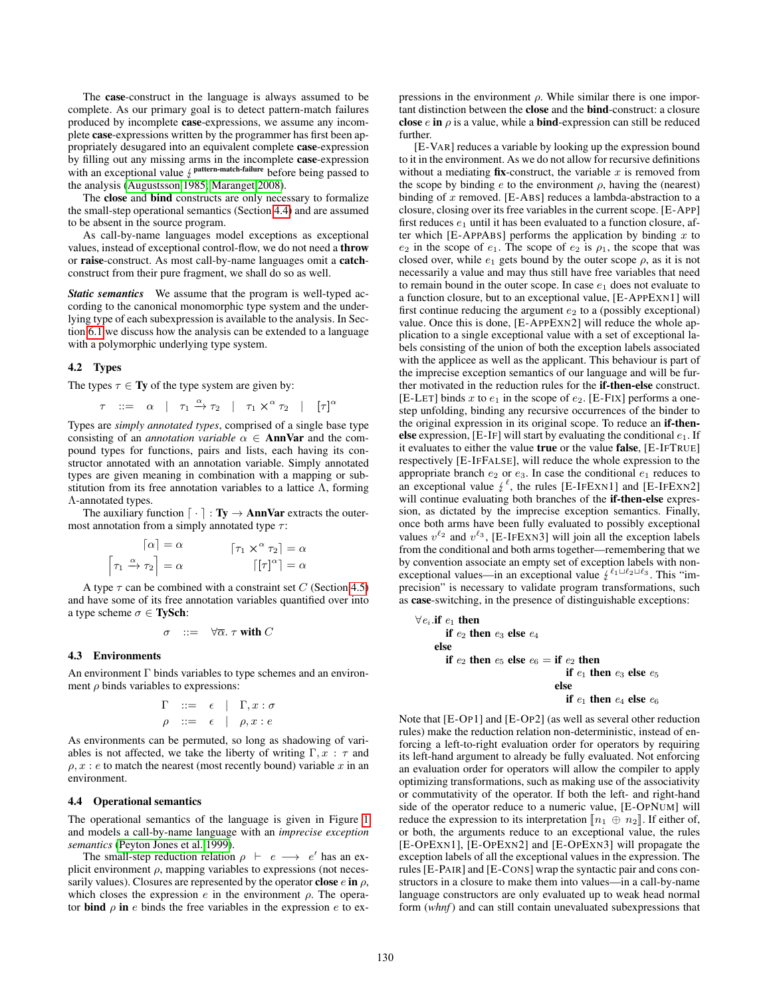The case-construct in the language is always assumed to be complete. As our primary goal is to detect pattern-match failures produced by incomplete case-expressions, we assume any incomplete case-expressions written by the programmer has first been appropriately desugared into an equivalent complete case-expression by filling out any missing arms in the incomplete case-expression with an exceptional value  $\frac{f}{f}$  pattern-match-failure before being passed to the analysis (Augustsson 1985; Maranget 2008) the analysis [\(Augustsson 1985;](#page-11-11) [Maranget 2008\)](#page-11-12).

The close and bind constructs are only necessary to formalize the small-step operational semantics (Section [4.4\)](#page-3-0) and are assumed to be absent in the source program.

As call-by-name languages model exceptions as exceptional values, instead of exceptional control-flow, we do not need a throw or raise-construct. As most call-by-name languages omit a catchconstruct from their pure fragment, we shall do so as well.

*Static semantics* We assume that the program is well-typed according to the canonical monomorphic type system and the underlying type of each subexpression is available to the analysis. In Section [6.1](#page-9-0) we discuss how the analysis can be extended to a language with a polymorphic underlying type system.

#### 4.2 Types

The types  $\tau \in \mathbf{Ty}$  of the type system are given by:

$$
\tau \quad ::= \quad \alpha \quad | \quad \tau_1 \xrightarrow{\alpha} \tau_2 \quad | \quad \tau_1 \times^{\alpha} \tau_2 \quad | \quad [\tau]^{\alpha}
$$

Types are *simply annotated types*, comprised of a single base type consisting of an *annotation variable*  $\alpha \in \text{AnnVar}$  and the compound types for functions, pairs and lists, each having its constructor annotated with an annotation variable. Simply annotated types are given meaning in combination with a mapping or substitution from its free annotation variables to a lattice  $\Lambda$ , forming Λ-annotated types.

The auxiliary function  $\lceil \cdot \rceil : Ty \rightarrow AnnVar$  extracts the outermost annotation from a simply annotated type  $\tau$ :

$$
\begin{aligned}\n\lceil \alpha \rceil &= \alpha & \qquad \lceil \tau_1 \times \alpha \tau_2 \rceil &= \alpha \\
\lceil \tau_1 \xrightarrow{\alpha} \tau_2 \rceil &= \alpha & \qquad \lceil \lceil \tau \rceil^{\alpha} \rceil &= \alpha\n\end{aligned}
$$

A type  $\tau$  can be combined with a constraint set C (Section [4.5\)](#page-5-0) and have some of its free annotation variables quantified over into a type scheme  $\sigma \in \textbf{TySch}$ :

$$
\sigma \quad ::= \quad \forall \overline{\alpha}.\ \tau \text{ with } C
$$

#### 4.3 Environments

An environment  $\Gamma$  binds variables to type schemes and an environment  $\rho$  binds variables to expressions:

$$
\begin{array}{ccc}\n\Gamma & ::= & \epsilon & | & \Gamma, x : \sigma \\
\rho & ::= & \epsilon & | & \rho, x : e\n\end{array}
$$

As environments can be permuted, so long as shadowing of variables is not affected, we take the liberty of writing  $\Gamma, x : \tau$  and  $\rho, x : e$  to match the nearest (most recently bound) variable x in an environment.

#### <span id="page-3-0"></span>4.4 Operational semantics

The operational semantics of the language is given in Figure [1](#page-4-0) and models a call-by-name language with an *imprecise exception semantics* [\(Peyton Jones et al. 1999\)](#page-11-13).

The small-step reduction relation  $\rho \vdash e \longrightarrow e'$  has an explicit environment  $\rho$ , mapping variables to expressions (not necessarily values). Closures are represented by the operator close  $e$  in  $\rho$ , which closes the expression  $e$  in the environment  $\rho$ . The operator **bind**  $\rho$  in e binds the free variables in the expression e to expressions in the environment  $\rho$ . While similar there is one important distinction between the close and the bind-construct: a closure close  $e$  in  $\rho$  is a value, while a **bind**-expression can still be reduced further.

[E-VAR] reduces a variable by looking up the expression bound to it in the environment. As we do not allow for recursive definitions without a mediating  $fix$ -construct, the variable  $x$  is removed from the scope by binding  $e$  to the environment  $\rho$ , having the (nearest) binding of  $x$  removed. [E-ABS] reduces a lambda-abstraction to a closure, closing over its free variables in the current scope. [E-APP] first reduces  $e_1$  until it has been evaluated to a function closure, after which [E-APPABS] performs the application by binding  $x$  to  $e_2$  in the scope of  $e_1$ . The scope of  $e_2$  is  $\rho_1$ , the scope that was closed over, while  $e_1$  gets bound by the outer scope  $\rho$ , as it is not necessarily a value and may thus still have free variables that need to remain bound in the outer scope. In case  $e_1$  does not evaluate to a function closure, but to an exceptional value, [E-APPEXN1] will first continue reducing the argument  $e_2$  to a (possibly exceptional) value. Once this is done, [E-APPEXN2] will reduce the whole application to a single exceptional value with a set of exceptional labels consisting of the union of both the exception labels associated with the applicee as well as the applicant. This behaviour is part of the imprecise exception semantics of our language and will be further motivated in the reduction rules for the if-then-else construct. [E-LET] binds x to  $e_1$  in the scope of  $e_2$ . [E-FIX] performs a onestep unfolding, binding any recursive occurrences of the binder to the original expression in its original scope. To reduce an if-thenelse expression,  $[E-IF]$  will start by evaluating the conditional  $e_1$ . If it evaluates to either the value true or the value false, [E-IFTRUE] respectively [E-IFFALSE], will reduce the whole expression to the appropriate branch  $e_2$  or  $e_3$ . In case the conditional  $e_1$  reduces to an exceptional value  $\frac{\ell}{\ell}$ , the rules [E-IFEXN1] and [E-IFEXN2] will continue evaluating both branches of the **if then-else** expreswill continue evaluating both branches of the if-then-else expression, as dictated by the imprecise exception semantics. Finally, once both arms have been fully evaluated to possibly exceptional values  $v^{\ell_2}$  and  $v^{\ell_3}$ , [E-IFEXN3] will join all the exception labels from the conditional and both arms together—remembering that we by convention associate an empty set of exception labels with nonexceptional values—in an exceptional value  $\ell^{\ell_1 \sqcup \ell_2 \sqcup \ell_3}$ . This "im-<br>precision" is necessary to validate program transformations, such precision" is necessary to validate program transformations, such as case-switching, in the presence of distinguishable exceptions:

$$
\forall e_i \text{ if } e_1 \text{ then}
$$
\n
$$
\text{if } e_2 \text{ then } e_3 \text{ else } e_4
$$
\n
$$
\text{else}
$$
\n
$$
\text{if } e_2 \text{ then } e_5 \text{ else } e_6 = \text{if } e_2 \text{ then}
$$
\n
$$
\text{if } e_1 \text{ then } e_3 \text{ else } e_5
$$
\n
$$
\text{else}
$$
\n
$$
\text{if } e_1 \text{ then } e_4 \text{ else } e_6
$$

Note that [E-OP1] and [E-OP2] (as well as several other reduction rules) make the reduction relation non-deterministic, instead of enforcing a left-to-right evaluation order for operators by requiring its left-hand argument to already be fully evaluated. Not enforcing an evaluation order for operators will allow the compiler to apply optimizing transformations, such as making use of the associativity or commutativity of the operator. If both the left- and right-hand side of the operator reduce to a numeric value, [E-OPNUM] will reduce the expression to its interpretation  $\llbracket n_1 \oplus n_2 \rrbracket$ . If either of, or both, the arguments reduce to an exceptional value, the rules [E-OPEXN1], [E-OPEXN2] and [E-OPEXN3] will propagate the exception labels of all the exceptional values in the expression. The rules [E-PAIR] and [E-CONS] wrap the syntactic pair and cons constructors in a closure to make them into values—in a call-by-name language constructors are only evaluated up to weak head normal form (*whnf*) and can still contain unevaluated subexpressions that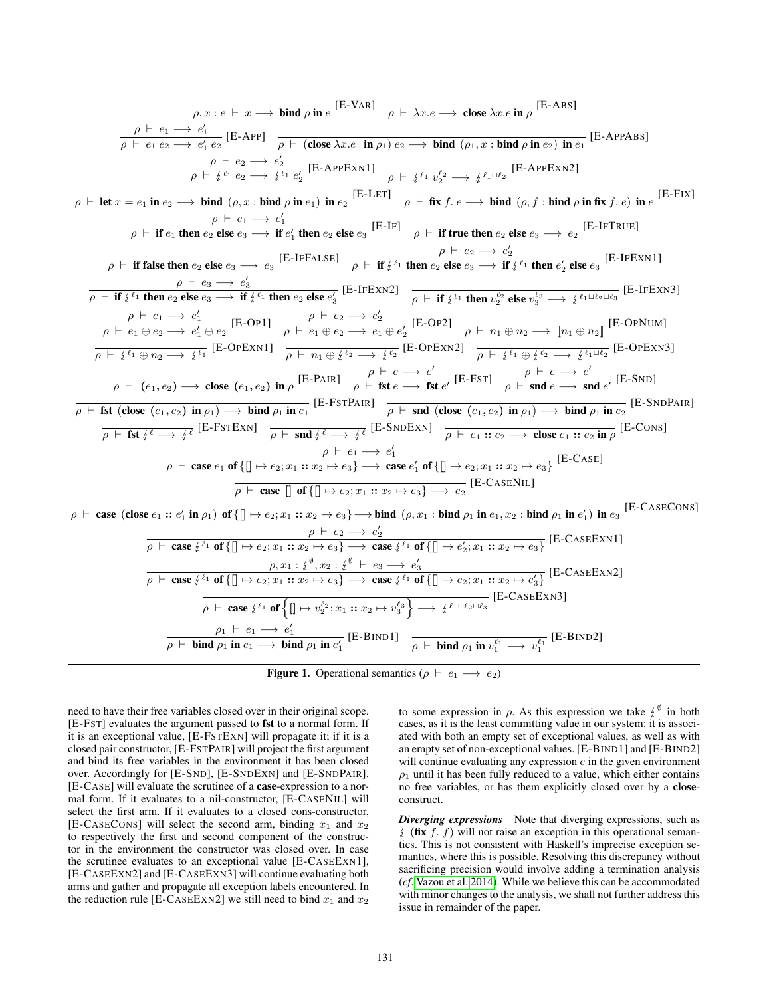$$
\frac{\overline{\rho, x : e \vdash x \rightarrow \text{ bind } \rho \text{ in } e} [\text{E-VAR}] - \overline{\rho + \text{2x} \cdot e \rightarrow \text{close } x \cdot e \text{ in } \rho} [\text{E-ABS}]}{\overline{\rho + \text{let } x = \rightarrow e_1'} \frac{\rho + e_1 \rightarrow e_1'}{\rho + e_2 \rightarrow e_2'} [\text{E-APP,1}] - \overline{\rho + e_2 \rightarrow e_2'} \frac{\rho + e_2 \rightarrow e_1'}{\rho + e_2 \rightarrow e_1' e_2'} [\text{E-APP,1}] - \overline{\rho + e_1'} \frac{\rho + e_1 \rightarrow e_2'}{\rho + e_1' e_2' e_2'} [\text{E-APP,1}] - \overline{\rho + e_1'} \frac{\rho + e_1 \rightarrow e_2'}{\rho + e_1' e_2' e_2' e_2'} [\text{E-APP,1}] - \overline{\rho + e_1'} \frac{\rho + e_1 \rightarrow e_2'}{\rho + e_1' e_2' e_2' e_2'} [\text{E-APP,1}] - \overline{\rho + e_1'} \frac{\rho + e_1 \rightarrow e_1'}{\rho + e_1' e_2' e_2' e_2' e_2'} [\text{E-APP,1}]
$$
\n
$$
\frac{\rho + e_1 \rightarrow e_1'}{\rho + \text{if } \text{false then } e_2 \text{ else } e_3 \rightarrow \text{ if } e_1' \text{ then } e_2 \text{ else } e_3 \rightarrow \text{ if } e_1' \text{ then } e_2 \text{ else } e_3 \rightarrow e_2' [\text{E-IFX1}] - \overline{\rho + e_1'} \frac{\rho + e_2 \rightarrow e_2'}{\rho + e_2 \rightarrow e_2'} \frac{\rho + e_2 \rightarrow e_2'}{\rho + e_1' e_2' e_2' e_2' e_2'} [\text{E-IPEXX}]
$$
\n
$$
\frac{\rho + e_1 \rightarrow e_1'}{\rho + e_1 \rightarrow e_2 \rightarrow e_3} [\text{E-IF1ALS}] - \frac{\rho + e_2 \rightarrow e_2'}{\rho + e_1' e_1' e_1' e_1' e_2' e_2' e_2' e_2' e_2' e_2' [\text{E-IPEXX}]}{\rho + e_1' e_1' e_2' e_2' e_2' e_2' e_2' e_2' e_2' [\text{
$$

<span id="page-4-0"></span>**Figure 1.** Operational semantics ( $\rho \vdash e_1 \longrightarrow e_2$ )

need to have their free variables closed over in their original scope. [E-FST] evaluates the argument passed to fst to a normal form. If it is an exceptional value, [E-FSTEXN] will propagate it; if it is a closed pair constructor, [E-FSTPAIR] will project the first argument and bind its free variables in the environment it has been closed over. Accordingly for [E-SND], [E-SNDEXN] and [E-SNDPAIR]. [E-CASE] will evaluate the scrutinee of a case-expression to a normal form. If it evaluates to a nil-constructor, [E-CASENIL] will select the first arm. If it evaluates to a closed cons-constructor, [E-CASECONS] will select the second arm, binding  $x_1$  and  $x_2$ to respectively the first and second component of the constructor in the environment the constructor was closed over. In case the scrutinee evaluates to an exceptional value [E-CASEEXN1], [E-CASEEXN2] and [E-CASEEXN3] will continue evaluating both arms and gather and propagate all exception labels encountered. In the reduction rule [E-CASEEXN2] we still need to bind  $x_1$  and  $x_2$ 

to some expression in  $\rho$ . As this expression we take  $\psi^{\emptyset}$  in both cases as it is the least committing value in our system; it is associcases, as it is the least committing value in our system: it is associated with both an empty set of exceptional values, as well as with an empty set of non-exceptional values. [E-BIND1] and [E-BIND2] will continue evaluating any expression  $e$  in the given environment  $\rho_1$  until it has been fully reduced to a value, which either contains no free variables, or has them explicitly closed over by a closeconstruct.

*Diverging expressions* Note that diverging expressions, such as  $\oint$  (fix f. f) will not raise an exception in this operational semantics. This is not consistent with Haskell's imprecise exception semantics, where this is possible. Resolving this discrepancy without sacrificing precision would involve adding a termination analysis (*cf*. [Vazou et al. 2014\)](#page-11-14). While we believe this can be accommodated with minor changes to the analysis, we shall not further address this issue in remainder of the paper.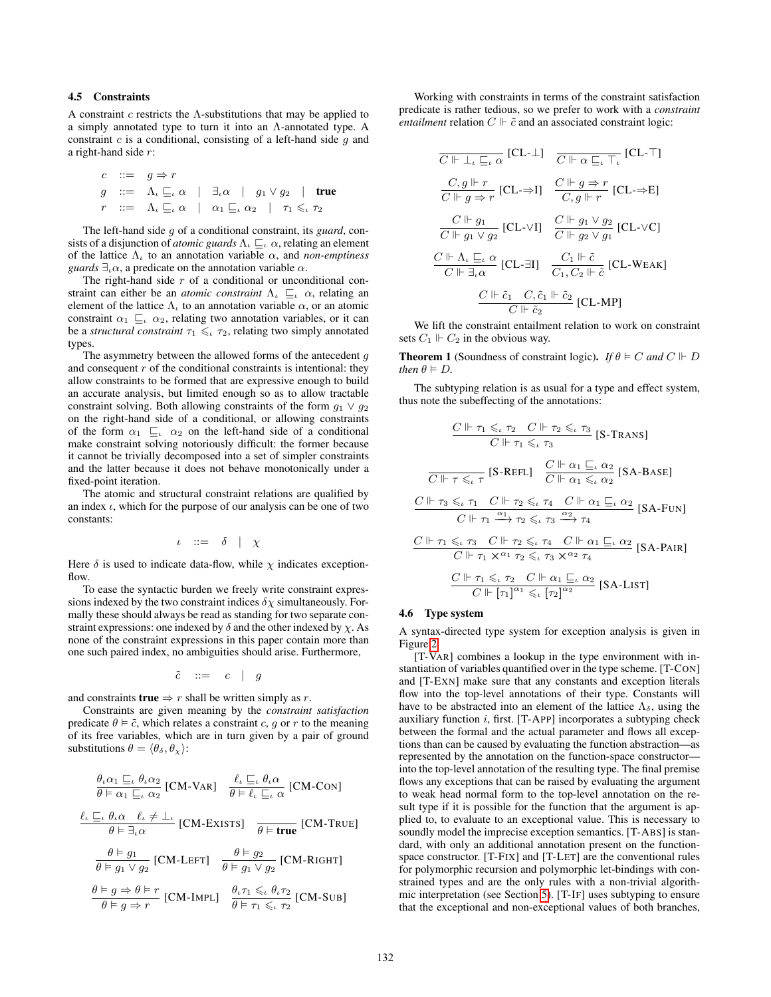## <span id="page-5-0"></span>4.5 Constraints

A constraint  $c$  restricts the  $\Lambda$ -substitutions that may be applied to a simply annotated type to turn it into an Λ-annotated type. A constraint  $c$  is a conditional, consisting of a left-hand side  $g$  and a right-hand side r:

$$
c ::= g \Rightarrow r
$$
  
\n
$$
g ::= \Lambda_{\iota} \sqsubseteq_{\iota} \alpha \mid \exists_{\iota} \alpha \mid g_1 \vee g_2 \mid \text{true}
$$
  
\n
$$
r ::= \Lambda_{\iota} \sqsubseteq_{\iota} \alpha \mid \alpha_1 \sqsubseteq_{\iota} \alpha_2 \mid \tau_1 \leq_{\iota} \tau_2
$$

The left-hand side g of a conditional constraint, its *guard*, consists of a disjunction of *atomic guards*  $\Lambda$ <sub>*ι*</sub>  $\sqsubseteq$ <sub>*ι*</sub>  $\alpha$ , relating an element of the lattice  $\Lambda_{\iota}$  to an annotation variable  $\alpha$ , and *non-emptiness guards*  $\exists_{\iota} \alpha$ , a predicate on the annotation variable  $\alpha$ .

The right-hand side  $r$  of a conditional or unconditional constraint can either be an *atomic constraint*  $\Lambda$ <sub>*ι*</sub>  $\sqsubseteq$ *<sub><i>ι*</sub>  $\alpha$ , relating an element of the lattice  $\Lambda_t$  to an annotation variable  $\alpha$ , or an atomic constraint  $\alpha_1 \sqsubseteq_{\iota} \alpha_2$ , relating two annotation variables, or it can be a *structural constraint*  $\tau_1 \leq \tau_2$ , relating two simply annotated types.

The asymmetry between the allowed forms of the antecedent  $q$ and consequent  $r$  of the conditional constraints is intentional: they allow constraints to be formed that are expressive enough to build an accurate analysis, but limited enough so as to allow tractable constraint solving. Both allowing constraints of the form  $g_1 \vee g_2$ on the right-hand side of a conditional, or allowing constraints of the form  $\alpha_1 \subseteq_{\iota} \alpha_2$  on the left-hand side of a conditional make constraint solving notoriously difficult: the former because it cannot be trivially decomposed into a set of simpler constraints and the latter because it does not behave monotonically under a fixed-point iteration.

The atomic and structural constraint relations are qualified by an index  $\iota$ , which for the purpose of our analysis can be one of two constants:

$$
\iota \quad ::= \quad \delta \quad | \quad \chi
$$

Here  $\delta$  is used to indicate data-flow, while  $\chi$  indicates exceptionflow.

To ease the syntactic burden we freely write constraint expressions indexed by the two constraint indices  $\delta \chi$  simultaneously. Formally these should always be read as standing for two separate constraint expressions: one indexed by  $\delta$  and the other indexed by  $\chi$ . As none of the constraint expressions in this paper contain more than one such paired index, no ambiguities should arise. Furthermore,

 $\tilde{c}$  ::=  $c$  | g

and constraints **true**  $\Rightarrow$  r shall be written simply as r.

Constraints are given meaning by the *constraint satisfaction* predicate  $\theta \models \tilde{c}$ , which relates a constraint c, g or r to the meaning of its free variables, which are in turn given by a pair of ground substitutions  $\theta = \langle \theta_{\delta}, \theta_{\chi} \rangle$ :

$$
\frac{\theta_{\iota}\alpha_{1} \sqsubseteq_{\iota} \theta_{\iota}\alpha_{2}}{\theta \vDash \alpha_{1} \sqsubseteq_{\iota} \alpha_{2}} [\text{CM-VAR}] \quad \frac{\ell_{\iota} \sqsubseteq_{\iota} \theta_{\iota}\alpha}{\theta \vDash \ell_{\iota} \sqsubseteq_{\iota} \alpha} [\text{CM-CON}]
$$
\n
$$
\frac{\ell_{\iota} \sqsubseteq_{\iota} \theta_{\iota}\alpha \quad \ell_{\iota} \neq \bot_{\iota}}{\theta \vDash \exists_{\iota}\alpha} [\text{CM-EXISTS}] \quad \frac{\theta \vDash \text{true}}{\theta \vDash \text{true}} [\text{CM-TRUE}]
$$
\n
$$
\frac{\theta \vDash g_{1}}{\theta \vDash g_{1} \lor g_{2}} [\text{CM-LEFT}] \quad \frac{\theta \vDash g_{2}}{\theta \vDash g_{1} \lor g_{2}} [\text{CM-RIGHT}]
$$
\n
$$
\frac{\theta \vDash g \Rightarrow \theta \vDash r}{\theta \vDash g \Rightarrow r} [\text{CM-IMPL}] \quad \frac{\theta_{\iota}\tau_{1} \leq_{\iota} \theta_{\iota}\tau_{2}}{\theta \vDash \tau_{1} \leq_{\iota}\tau_{2}} [\text{CM-SUB}]
$$

Working with constraints in terms of the constraint satisfaction predicate is rather tedious, so we prefer to work with a *constraint entailment* relation  $C \Vdash \tilde{c}$  and an associated constraint logic:

$$
\overline{C \Vdash \bot_{\iota} \sqsubseteq_{\iota} \alpha} \text{ [CL-1]} \quad \overline{C \Vdash \alpha \sqsubseteq_{\iota} \top_{\iota}} \text{ [CL-T]}
$$
\n
$$
\overline{C \Vdash g \Rightarrow r} \text{ [CL-}\Rightarrow \text{I]} \quad \overline{C \Vdash g \Rightarrow r} \text{ [CL-}\Rightarrow \text{E]}
$$
\n
$$
\overline{C \Vdash g_1 \vee g_2} \text{ [CL-}\vee \text{I]} \quad \overline{C \Vdash g_1 \vee g_2} \text{ [CL-}\vee \text{C]}
$$
\n
$$
\overline{C \Vdash g_1 \vee g_2} \text{ [CL-}\vee \text{I]} \quad \overline{C \Vdash g_2 \vee g_1} \text{ [CL-}\vee \text{C]}
$$
\n
$$
\overline{C \Vdash \exists_{\iota} \alpha} \text{ [CL-}\exists \text{I]} \quad \overline{C_1, C_2 \Vdash \tilde{c}} \text{ [CL-}\vee \text{EAK]}
$$
\n
$$
\overline{C \Vdash \tilde{c}_2} \text{ [CL-MP]}
$$

We lift the constraint entailment relation to work on constraint sets  $C_1 \Vdash C_2$  in the obvious way.

**Theorem 1** (Soundness of constraint logic). *If*  $\theta \models C$  *and*  $C \parallel D$ *then*  $\theta \models D$ *.* 

The subtyping relation is as usual for a type and effect system, thus note the subeffecting of the annotations:

$$
\frac{C \Vdash \tau_1 \leq_\iota \tau_2 \quad C \Vdash \tau_2 \leq_\iota \tau_3}{C \Vdash \tau_1 \leq_\iota \tau_3} \text{ [S-Trans]}
$$
\n
$$
\frac{C \Vdash \tau_1 \leq_\iota \tau_3}{C \Vdash \tau \leq_\iota \tau} \text{ [S-REF]} \quad \frac{C \Vdash \alpha_1 \sqsubseteq_\iota \alpha_2}{C \Vdash \alpha_1 \leq_\iota \alpha_2} \text{ [SA-BASE]}
$$
\n
$$
\frac{C \Vdash \tau_3 \leq_\iota \tau_1 \quad C \Vdash \tau_2 \leq_\iota \tau_4 \quad C \Vdash \alpha_1 \sqsubseteq_\iota \alpha_2}{C \Vdash \tau_1 \leq_\iota \tau_3 \quad C \Vdash \tau_2 \leq_\iota \tau_3 \quad \frac{\alpha_2}{\tau_4} \tau_4}
$$
\n
$$
\frac{C \Vdash \tau_1 \leq_\iota \tau_3 \quad C \Vdash \tau_2 \leq_\iota \tau_4 \quad C \Vdash \alpha_1 \sqsubseteq_\iota \alpha_2}{C \Vdash \tau_1 \times^{\alpha_1} \tau_2 \leq_\iota \tau_3 \times^{\alpha_2} \tau_4} \text{ [SA-PAIR]}
$$
\n
$$
\frac{C \Vdash \tau_1 \leq_\iota \tau_2 \quad C \Vdash \alpha_1 \sqsubseteq_\iota \alpha_2}{C \Vdash [\tau_1]^{\alpha_1} \leq_\iota [\tau_2]^{\alpha_2}} \text{ [SA-LIST]}
$$

## 4.6 Type system

A syntax-directed type system for exception analysis is given in Figure [2.](#page-6-0)

[T-VAR] combines a lookup in the type environment with instantiation of variables quantified over in the type scheme. [T-CON] and [T-EXN] make sure that any constants and exception literals flow into the top-level annotations of their type. Constants will have to be abstracted into an element of the lattice  $\Lambda_{\delta}$ , using the auxiliary function  $i$ , first. [T-APP] incorporates a subtyping check between the formal and the actual parameter and flows all exceptions than can be caused by evaluating the function abstraction—as represented by the annotation on the function-space constructor into the top-level annotation of the resulting type. The final premise flows any exceptions that can be raised by evaluating the argument to weak head normal form to the top-level annotation on the result type if it is possible for the function that the argument is applied to, to evaluate to an exceptional value. This is necessary to soundly model the imprecise exception semantics. [T-ABS] is standard, with only an additional annotation present on the functionspace constructor. [T-FIX] and [T-LET] are the conventional rules for polymorphic recursion and polymorphic let-bindings with constrained types and are the only rules with a non-trivial algorithmic interpretation (see Section [5\)](#page-7-0). [T-IF] uses subtyping to ensure that the exceptional and non-exceptional values of both branches,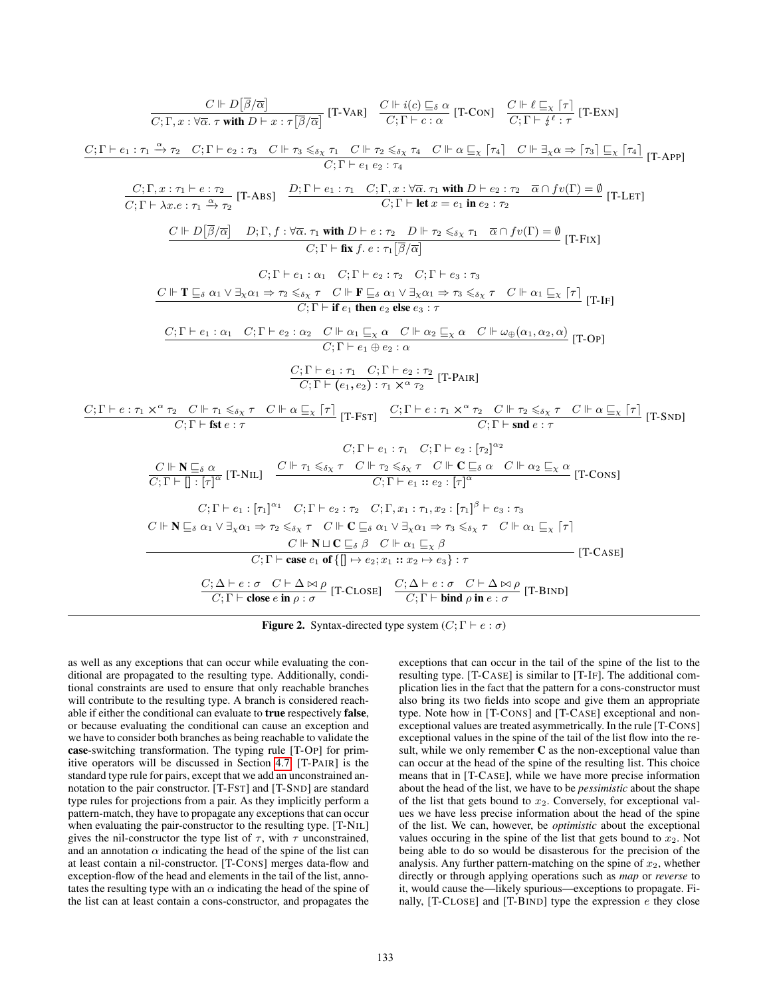| $\frac{C \Vdash D[\beta/\overline{\alpha}]}{C;\Gamma,x:\forall \overline{\alpha}.\tau \text{ with } D \vdash x:\tau \overline{\beta}/\overline{\alpha} } [\text{T-VAR}] \quad \frac{C \Vdash i(c) \sqsubseteq_{\delta} \alpha}{C;\Gamma \vdash c:\alpha} [\text{T-Con}] \quad \frac{C \Vdash \ell \sqsubseteq_{\chi} [\tau]}{C;\Gamma \vdash i^{\ell}:\tau} [\text{T-Exn}]$                                                                                                                                                                                                                                                                                                                                                                              |  |
|----------------------------------------------------------------------------------------------------------------------------------------------------------------------------------------------------------------------------------------------------------------------------------------------------------------------------------------------------------------------------------------------------------------------------------------------------------------------------------------------------------------------------------------------------------------------------------------------------------------------------------------------------------------------------------------------------------------------------------------------------------|--|
| $\frac{C; \Gamma \vdash e_1 : \tau_1 \xrightarrow{\alpha} \tau_2 \quad C; \Gamma \vdash e_2 : \tau_3 \quad C \Vdash \tau_3 \leq_{\delta \chi} \tau_1 \quad C \Vdash \tau_2 \leq_{\delta \chi} \tau_4 \quad C \Vdash \alpha \sqsubseteq_{\chi} [\tau_4] \quad C \Vdash \exists_{\chi} \alpha \Rightarrow [\tau_3] \sqsubseteq_{\chi} [\tau_4] \tag{T-App}$                                                                                                                                                                                                                                                                                                                                                                                                |  |
| $\frac{C; \Gamma, x: \tau_1 \vdash e: \tau_2}{C; \Gamma \vdash \lambda x. e: \tau_1 \xrightarrow{\alpha} \tau_2} [\text{T-ABS}] \quad \frac{D; \Gamma \vdash e_1: \tau_1 \quad C; \Gamma, x: \forall \overline{\alpha}, \tau_1 \text{ with } D \vdash e_2: \tau_2 \quad \overline{\alpha} \cap fv(\Gamma) = \emptyset}{C; \Gamma \vdash \text{let } x = e_1 \text{ in } e_2: \tau_2} [\text{T-LET}]$                                                                                                                                                                                                                                                                                                                                                     |  |
| $C \Vdash D \overline{[\beta/\overline{\alpha}]} \quad D; \Gamma, f : \forall \overline{\alpha}. \ \tau_1 \text{ with } D \vdash e : \tau_2 \quad D \Vdash \tau_2 \leq_{\delta_X} \tau_1 \quad \overline{\alpha} \cap f v(\Gamma) = \emptyset \tag{T-Fix}$<br>$C: \Gamma \vdash$ fix f. e : $\tau_1 \overline{\beta}/\overline{\alpha}$                                                                                                                                                                                                                                                                                                                                                                                                                  |  |
| $C:\Gamma\vdash e_1:\alpha_1\quad C:\Gamma\vdash e_2:\tau_2\quad C:\Gamma\vdash e_3:\tau_3$<br>$C \Vdash T \sqsubseteq_{\delta} \alpha_1 \vee \exists_{\chi} \alpha_1 \Rightarrow \tau_2 \leq_{\delta \chi} \tau \quad C \Vdash F \sqsubseteq_{\delta} \alpha_1 \vee \exists_{\chi} \alpha_1 \Rightarrow \tau_3 \leq_{\delta \chi} \tau \quad C \Vdash \alpha_1 \sqsubseteq_{\chi} [\tau]$<br>$C; \Gamma \vdash$ if $e_1$ then $e_2$ else $e_3 : \tau$                                                                                                                                                                                                                                                                                                   |  |
| $\frac{C; \Gamma \vdash e_1 : \alpha_1 \quad C; \Gamma \vdash e_2 : \alpha_2 \quad C \Vdash \alpha_1 \sqsubseteq_X \alpha \quad C \Vdash \alpha_2 \sqsubseteq_X \alpha \quad C \Vdash \omega_{\oplus}(\alpha_1, \alpha_2, \alpha)}{C; \Gamma \vdash e_1 \oplus e_2 : \alpha} \quad \text{[T-OP]}$                                                                                                                                                                                                                                                                                                                                                                                                                                                        |  |
| $\frac{C; \Gamma \vdash e_1 : \tau_1 \quad C; \Gamma \vdash e_2 : \tau_2}{C; \Gamma \vdash (e_1, e_2) : \tau_1 \times \gamma \tau_2} \quad \text{[T-PAIR]}$                                                                                                                                                                                                                                                                                                                                                                                                                                                                                                                                                                                              |  |
|                                                                                                                                                                                                                                                                                                                                                                                                                                                                                                                                                                                                                                                                                                                                                          |  |
| $C:\Gamma \vdash e_1 : \tau_1 \quad C:\Gamma \vdash e_2 : [\tau_2]^{\alpha_2}$<br>$\frac{C \Vdash \mathbf{N} \sqsubseteq_{\delta} \alpha}{C:\Gamma \vdash \Pi :  \tau ^{\alpha}} [\text{T-NIL}] \quad \frac{C \Vdash \tau_1 \leq_{\delta \chi} \tau \quad C \Vdash \tau_2 \leq_{\delta \chi} \tau \quad C \Vdash \mathbf{C} \sqsubseteq_{\delta} \alpha \quad C \Vdash \alpha_2 \sqsubseteq_{\chi} \alpha}{C:\Gamma \vdash e_1 :: e_2 :  \tau ^{\alpha}} [\text{T-Cons}]$                                                                                                                                                                                                                                                                                |  |
| $C; \Gamma \vdash e_1 : [\tau_1]^{\alpha_1} \quad C; \Gamma \vdash e_2 : \tau_2 \quad C; \Gamma, x_1 : \tau_1, x_2 : [\tau_1]^{\beta} \vdash e_3 : \tau_3$<br>$C \Vdash \mathbf{N} \sqsubseteq_{\delta} \alpha_1 \vee \exists_{\chi} \alpha_1 \Rightarrow \tau_2 \leqslant_{\delta \chi} \tau \quad C \Vdash \mathbf{C} \sqsubseteq_{\delta} \alpha_1 \vee \exists_{\chi} \alpha_1 \Rightarrow \tau_3 \leqslant_{\delta \chi} \tau \quad C \Vdash \alpha_1 \sqsubseteq_{\chi} \lceil \tau \rceil$<br>$\frac{C \Vdash \mathbf{N} \sqcup \mathbf{C} \sqsubseteq_{\delta} \beta \quad C \Vdash \alpha_1 \sqsubseteq_{\chi} \beta}{C; \Gamma \vdash \mathbf{case} \ e_1 \mathbf{ of } \{\parallel \mapsto e_2; x_1 :: x_2 \mapsto e_3\} : \tau}$<br>$T-CASE$ |  |
| $\frac{C;\Delta\vdash e:\sigma\quad C\vdash \Delta\bowtie \rho}{C;\Gamma\vdash \textbf{close} \in \textbf{in} \ \rho:\sigma}$ [T-CLOSE] $\frac{C;\Delta\vdash e:\sigma\quad C\vdash \Delta\bowtie \rho}{C;\Gamma\vdash \textbf{bind} \ \rho \textbf{in} \ e:\sigma}$ [T-BIND]                                                                                                                                                                                                                                                                                                                                                                                                                                                                            |  |

<span id="page-6-0"></span>**Figure 2.** Syntax-directed type system  $(C; \Gamma \vdash e : \sigma)$ 

as well as any exceptions that can occur while evaluating the conditional are propagated to the resulting type. Additionally, conditional constraints are used to ensure that only reachable branches will contribute to the resulting type. A branch is considered reachable if either the conditional can evaluate to true respectively false, or because evaluating the conditional can cause an exception and we have to consider both branches as being reachable to validate the case-switching transformation. The typing rule [T-OP] for primitive operators will be discussed in Section [4.7.](#page-7-1) [T-PAIR] is the standard type rule for pairs, except that we add an unconstrained annotation to the pair constructor. [T-FST] and [T-SND] are standard type rules for projections from a pair. As they implicitly perform a pattern-match, they have to propagate any exceptions that can occur when evaluating the pair-constructor to the resulting type. [T-NIL] gives the nil-constructor the type list of  $\tau$ , with  $\tau$  unconstrained, and an annotation  $\alpha$  indicating the head of the spine of the list can at least contain a nil-constructor. [T-CONS] merges data-flow and exception-flow of the head and elements in the tail of the list, annotates the resulting type with an  $\alpha$  indicating the head of the spine of the list can at least contain a cons-constructor, and propagates the exceptions that can occur in the tail of the spine of the list to the resulting type. [T-CASE] is similar to [T-IF]. The additional complication lies in the fact that the pattern for a cons-constructor must also bring its two fields into scope and give them an appropriate type. Note how in [T-CONS] and [T-CASE] exceptional and nonexceptional values are treated asymmetrically. In the rule [T-CONS] exceptional values in the spine of the tail of the list flow into the result, while we only remember C as the non-exceptional value than can occur at the head of the spine of the resulting list. This choice means that in [T-CASE], while we have more precise information about the head of the list, we have to be *pessimistic* about the shape of the list that gets bound to  $x_2$ . Conversely, for exceptional values we have less precise information about the head of the spine of the list. We can, however, be *optimistic* about the exceptional values occuring in the spine of the list that gets bound to  $x_2$ . Not being able to do so would be disasterous for the precision of the analysis. Any further pattern-matching on the spine of  $x_2$ , whether directly or through applying operations such as *map* or *reverse* to it, would cause the—likely spurious—exceptions to propagate. Finally,  $[T-CLOSE]$  and  $[T-BIND]$  type the expression  $e$  they close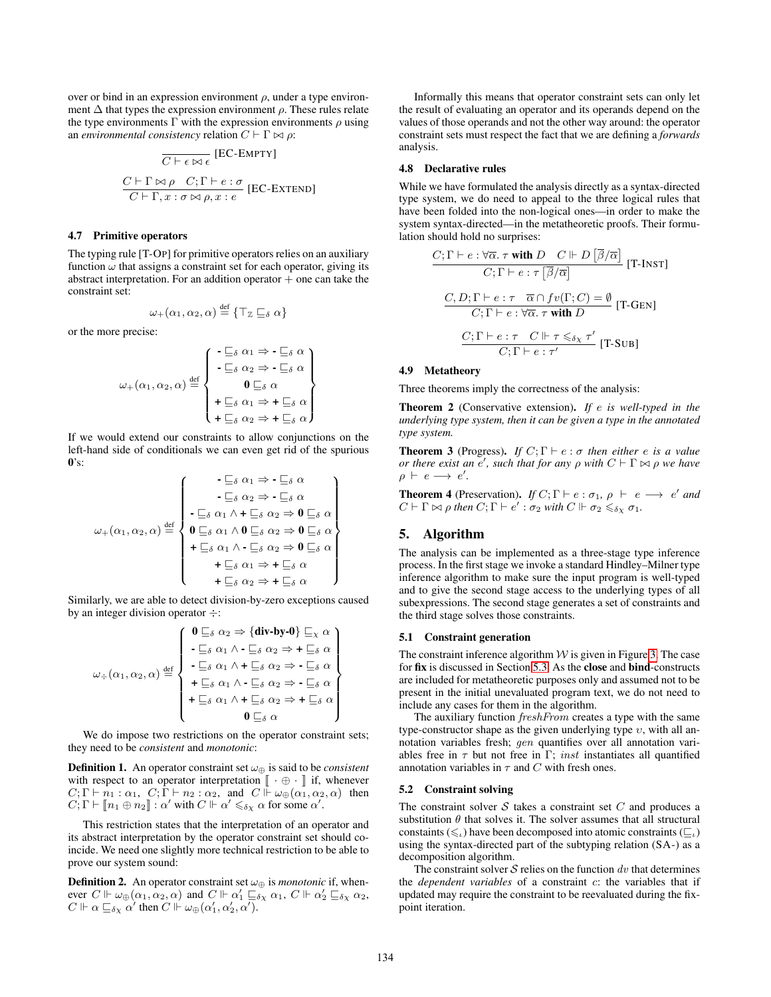over or bind in an expression environment  $\rho$ , under a type environment  $\Delta$  that types the expression environment  $\rho$ . These rules relate the type environments  $\Gamma$  with the expression environments  $\rho$  using an *environmental consistency* relation  $C \vdash \Gamma \bowtie \rho$ :

$$
\frac{\overline{C \vdash \epsilon \bowtie \epsilon}}{\overline{C \vdash \Gamma \bowtie \rho} \quad C; \Gamma \vdash e : \sigma} \quad \text{[EC-ENTEND]}
$$
\n
$$
\frac{C \vdash \Gamma \bowtie \rho \quad C; \Gamma \vdash e : \sigma}{C \vdash \Gamma, x : \sigma \bowtie \rho, x : e}
$$

#### <span id="page-7-1"></span>4.7 Primitive operators

The typing rule [T-OP] for primitive operators relies on an auxiliary function  $\omega$  that assigns a constraint set for each operator, giving its abstract interpretation. For an addition operator  $+$  one can take the constraint set:

$$
\omega_+(\alpha_1,\alpha_2,\alpha) \stackrel{\text{def}}{=} \{ \top_{\mathbb{Z}} \sqsubseteq_{\delta} \alpha \}
$$

or the more precise:

$$
\omega_{+}(\alpha_{1}, \alpha_{2}, \alpha) \stackrel{\text{def}}{=} \left\{ \begin{array}{l} \begin{array}{c} -\underline{\Box}\delta \text{ } \alpha_{1} \Rightarrow -\underline{\Box}\delta \text{ } \alpha \\ -\underline{\Box}\delta \text{ } \alpha_{2} \Rightarrow -\underline{\Box}\delta \text{ } \alpha \\ \mathbf{0} \underline{\Box}\delta \text{ } \alpha \\ +\underline{\Box}\delta \text{ } \alpha_{1} \Rightarrow +\underline{\Box}\delta \text{ } \alpha \\ +\underline{\Box}\delta \text{ } \alpha_{2} \Rightarrow +\underline{\Box}\delta \text{ } \alpha \end{array} \right\}
$$

If we would extend our constraints to allow conjunctions on the left-hand side of conditionals we can even get rid of the spurious  $0's$ 

$$
\omega_{+}(\alpha_{1}, \alpha_{2}, \alpha) \stackrel{\text{def}}{=} \left\{ \begin{array}{c} \begin{array}{c} \mathbf{-} \sqsubseteq_{\delta} \alpha_{1} \Rightarrow \mathbf{-} \sqsubseteq_{\delta} \alpha \\ \mathbf{-} \sqsubseteq_{\delta} \alpha_{2} \Rightarrow \mathbf{-} \sqsubseteq_{\delta} \alpha \\ \mathbf{-} \sqsubseteq_{\delta} \alpha_{1} \wedge \mathbf{+} \sqsubseteq_{\delta} \alpha_{2} \Rightarrow \mathbf{0} \sqsubseteq_{\delta} \alpha \\ \mathbf{0} \sqsubseteq_{\delta} \alpha_{1} \wedge \mathbf{0} \sqsubseteq_{\delta} \alpha_{2} \Rightarrow \mathbf{0} \sqsubseteq_{\delta} \alpha \\ \mathbf{+} \sqsubseteq_{\delta} \alpha_{1} \wedge \mathbf{-} \sqsubseteq_{\delta} \alpha_{2} \Rightarrow \mathbf{0} \sqsubseteq_{\delta} \alpha \\ \mathbf{+} \sqsubseteq_{\delta} \alpha_{1} \Rightarrow \mathbf{+} \sqsubseteq_{\delta} \alpha \\ \mathbf{+} \sqsubseteq_{\delta} \alpha_{2} \Rightarrow \mathbf{+} \sqsubseteq_{\delta} \alpha \end{array} \right\}
$$

Similarly, we are able to detect division-by-zero exceptions caused by an integer division operator  $\div$ :

$$
\omega_{\div}(\alpha_1, \alpha_2, \alpha) \stackrel{\text{def}}{=} \begin{cases}\n0 \sqsubseteq_{\delta} \alpha_2 \Rightarrow {\text{div-by-0}} \sqsubseteq_{\chi} \alpha \\
-\sqsubseteq_{\delta} \alpha_1 \land -\sqsubseteq_{\delta} \alpha_2 \Rightarrow + \sqsubseteq_{\delta} \alpha \\
-\sqsubseteq_{\delta} \alpha_1 \land + \sqsubseteq_{\delta} \alpha_2 \Rightarrow -\sqsubseteq_{\delta} \alpha \\
+ \sqsubseteq_{\delta} \alpha_1 \land -\sqsubseteq_{\delta} \alpha_2 \Rightarrow -\sqsubseteq_{\delta} \alpha \\
+ \sqsubseteq_{\delta} \alpha_1 \land + \sqsubseteq_{\delta} \alpha_2 \Rightarrow + \sqsubseteq_{\delta} \alpha \\
0 \sqsubseteq_{\delta} \alpha\n\end{cases}
$$

We do impose two restrictions on the operator constraint sets; they need to be *consistent* and *monotonic*:

**Definition 1.** An operator constraint set  $\omega_{\oplus}$  is said to be *consistent* with respect to an operator interpretation  $\mathbb{I} \cdot \oplus \cdot \mathbb{I}$  if, whenever  $C; \Gamma \vdash n_1 : \alpha_1, C; \Gamma \vdash n_2 : \alpha_2$ , and  $C \Vdash \omega_{\bigoplus}(\alpha_1, \alpha_2, \alpha)$  then  $C; \Gamma \vdash [\![ n_1 \oplus n_2 ]\!] : \alpha'$  with  $C \Vdash \alpha' \leq_{\delta_X} \alpha$  for some  $\alpha'$ .

This restriction states that the interpretation of an operator and its abstract interpretation by the operator constraint set should coincide. We need one slightly more technical restriction to be able to prove our system sound:

**Definition 2.** An operator constraint set  $\omega_{\oplus}$  is *monotonic* if, whenever  $C \Vdash \omega_{\oplus}(\alpha_1, \alpha_2, \alpha)$  and  $C \Vdash \alpha'_1 \sqsubseteq_{\delta \chi} \alpha_1$ ,  $C \Vdash \alpha'_2 \sqsubseteq_{\delta \chi} \alpha_2$ ,  $C \Vdash \alpha \sqsubseteq_{\delta_X} \alpha'$  then  $C \Vdash \omega_\oplus(\alpha'_1, \alpha'_2, \alpha').$ 

Informally this means that operator constraint sets can only let the result of evaluating an operator and its operands depend on the values of those operands and not the other way around: the operator constraint sets must respect the fact that we are defining a *forwards* analysis.

### 4.8 Declarative rules

While we have formulated the analysis directly as a syntax-directed type system, we do need to appeal to the three logical rules that have been folded into the non-logical ones—in order to make the system syntax-directed—in the metatheoretic proofs. Their formulation should hold no surprises:

$$
\frac{C; \Gamma \vdash e : \forall \overline{\alpha}. \tau \text{ with } D \quad C \Vdash D \overline{\lbrack \beta/\overline{\alpha} \rbrack} \quad \text{[T-INST]}
$$
\n
$$
C; \Gamma \vdash e : \tau \overline{\lbrack \beta/\overline{\alpha} \rbrack} \quad \text{[T-INST]}
$$
\n
$$
\frac{C, D; \Gamma \vdash e : \tau \quad \overline{\alpha} \cap fv(\Gamma; C) = \emptyset}{C; \Gamma \vdash e : \forall \overline{\alpha}. \tau \text{ with } D} \quad \text{[T-GEN]}
$$
\n
$$
\frac{C; \Gamma \vdash e : \tau \quad C \Vdash \tau \leq_{\delta \chi} \tau'}{C; \Gamma \vdash e : \tau'} \quad \text{[T-SUB]}
$$

# 4.9 Metatheory

Three theorems imply the correctness of the analysis:

Theorem 2 (Conservative extension). *If* e *is well-typed in the underlying type system, then it can be given a type in the annotated type system.*

**Theorem 3** (Progress). *If*  $C; \Gamma \vdash e : \sigma$  *then either e is a value or there exist an e', such that for any*  $\rho$  *with*  $C \vdash \Gamma \Join \rho$  *we have*  $\rho \vdash e \longrightarrow e'.$ 

**Theorem 4** (Preservation). *If*  $C; \Gamma \vdash e : \sigma_1, \rho \vdash e \longrightarrow e'$  and  $C \vdash \Gamma \bowtie \rho$  then  $C; \Gamma \vdash e' : \sigma_2$  with  $C \Vdash \sigma_2 \leq_{\delta \chi} \sigma_1$ .

## <span id="page-7-0"></span>5. Algorithm

The analysis can be implemented as a three-stage type inference process. In the first stage we invoke a standard Hindley–Milner type inference algorithm to make sure the input program is well-typed and to give the second stage access to the underlying types of all subexpressions. The second stage generates a set of constraints and the third stage solves those constraints.

### 5.1 Constraint generation

The constraint inference algorithm  $W$  is given in Figure [3.](#page-8-0) The case for fix is discussed in Section [5.3.](#page-8-1) As the close and bind-constructs are included for metatheoretic purposes only and assumed not to be present in the initial unevaluated program text, we do not need to include any cases for them in the algorithm.

The auxiliary function *freshFrom* creates a type with the same type-constructor shape as the given underlying type  $v$ , with all annotation variables fresh; gen quantifies over all annotation variables free in  $\tau$  but not free in Γ; *inst* instantiates all quantified annotation variables in  $\tau$  and C with fresh ones.

#### 5.2 Constraint solving

The constraint solver S takes a constraint set  $C$  and produces a substitution  $\theta$  that solves it. The solver assumes that all structural constaints ( $\leq_{\iota}$ ) have been decomposed into atomic constraints ( $\sqsubseteq_{\iota}$ ) using the syntax-directed part of the subtyping relation (SA-) as a decomposition algorithm.

The constraint solver  $S$  relies on the function dv that determines the *dependent variables* of a constraint c: the variables that if updated may require the constraint to be reevaluated during the fixpoint iteration.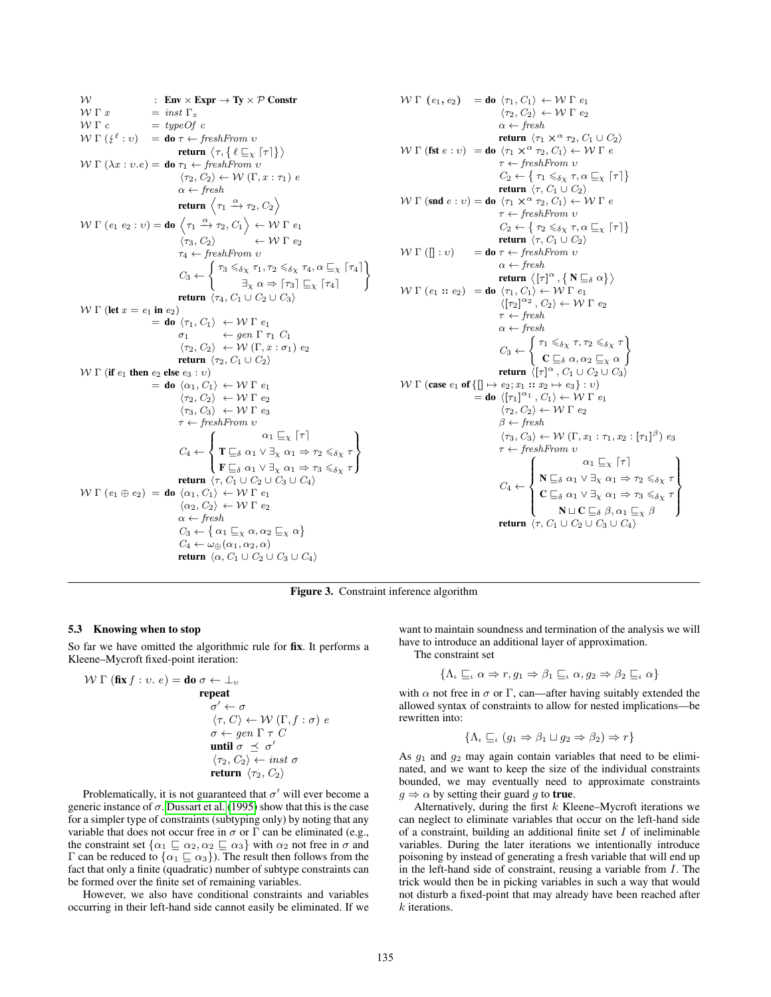W : **Env** × **Expr**  $\rightarrow$  **Ty** × P Constr<br>
W  $\Gamma x$  = *inst*  $\Gamma_x$  $W \Gamma x$  = inst  $\Gamma_x$ <br>  $W \Gamma c$  = typeOf  $= typeOf$  c  $\mathcal{W} \Gamma \left( \frac{1}{2} \ell : v \right) = \textbf{do} \tau \leftarrow \text{freshFrom } v$ return  $\langle \tau, \{\,\ell\sqsubseteq_{\chi} \lceil\tau\rceil\}\rangle$  $W \Gamma (\lambda x : v.e) =$  do  $τ_1 \leftarrow$  freshFrom v  $\langle \tau_2, C_2 \rangle \leftarrow \mathcal{W}(\Gamma, x : \tau_1) e$  $\alpha \leftarrow \text{fresh}$ return  $\left\langle \tau_1 \stackrel{\alpha}{\to} \tau_2, C_2 \right\rangle$  $\mathcal{W} \Gamma$  (e<sub>1</sub> e<sub>2</sub> : v) = **do**  $\langle \tau_1 \xrightarrow{\alpha} \tau_2, C_1 \rangle \leftarrow \mathcal{W} \Gamma$  e<sub>1</sub>  $\langle \tau_3, C_2 \rangle$   $\leftarrow$  W  $\Gamma$   $e_2$  $\tau_4 \leftarrow \text{freshFrom } v$  $C_3 \leftarrow \begin{cases} \tau_3 \leqslant_{\delta \chi} \tau_1, \tau_2 \leqslant_{\delta \chi} \tau_4, \alpha \sqsubseteq_{\chi} [\tau_4] \\ \square \qquad \qquad \square \qquad \square \end{cases}$  $\exists_{\chi} \alpha \Rightarrow [\tau_3] \sqsubseteq_{\chi} [\tau_4]$ ) return  $\langle \tau_4, C_1 \cup C_2 \cup C_3 \rangle$  $W \Gamma$  (let  $x = e_1$  in  $e_2$ )  $=$  do  $\langle \tau_1, C_1 \rangle \leftrightarrow W \Gamma e_1$  $\sigma_1 \leftarrow \text{gen } \Gamma \tau_1 C_1$  $\langle \tau_2, C_2 \rangle \leftarrow W(\Gamma, x : \sigma_1) e_2$ return  $\langle \tau_2, C_1 \cup C_2 \rangle$  $W Γ$  (if  $e_1$  then  $e_2$  else  $e_3 : v$ )  $=$  do  $\langle \alpha_1, C_1 \rangle \leftarrow W \Gamma e_1$  $\langle \tau_2, C_2 \rangle \leftrightarrow W \Gamma e_2$  $\langle \tau_3, C_3 \rangle \leftrightarrow W \Gamma e_3$  $\tau \leftarrow \text{freshFrom } v$  $C_4 \leftarrow$  $\int$  $\mathfrak{r}$  $\alpha_1 \sqsubseteq_{\chi} [\tau]$  $\mathbf{T} \sqsubseteq_{\delta} \alpha_1 \vee \exists_{\chi} \alpha_1 \Rightarrow \tau_2 \leq_{\delta \chi} \tau$  $\mathbf{F} \sqsubseteq_{\delta} \alpha_1 \vee \exists_{\chi} \alpha_1 \Rightarrow \tau_3 \leqslant_{\delta \chi} \tau$  $\overline{\mathcal{L}}$ J return  $\overline{\langle \tau, C_1 \cup C_2 \cup C_3 \cup C_4 \rangle}$  $W \Gamma (e_1 \oplus e_2) =$  do  $\langle \alpha_1, C_1 \rangle \leftarrow W \Gamma e_1$  $\langle \alpha_2, C_2 \rangle \leftarrow W \Gamma e_2$  $\alpha \leftarrow \text{fresh}$  $C_3 \leftarrow \{\alpha_1 \sqsubseteq_{\chi} \alpha, \alpha_2 \sqsubseteq_{\chi} \alpha\}$  $C_4 \leftarrow \omega_{\bigoplus}(\alpha_1, \alpha_2, \alpha)$ return  $\langle \alpha, C_1 \cup C_2 \cup C_3 \cup C_4 \rangle$ 

W Γ (e<sub>1</sub>, e<sub>2</sub>) = do 
$$
\langle \tau_1, C_1 \rangle \leftarrow
$$
 W Γ e<sub>1</sub>  
\n $\langle \tau_2, C_2 \rangle \leftarrow$  W Γ e<sub>2</sub>  
\nα ← fresh  
\nreturn  $\langle \tau_1 \times \alpha \tau_2, C_1 \cup C_2 \rangle$   
\nW Γ (fst e : v) = do  $\langle \tau_1 \times \alpha \tau_2, C_1 \rangle \leftarrow$  W Γ e  
\nτ ← freshFrom v  
\n $C_2 \leftarrow \{ \tau_1 \leq_{\delta_X} \tau, \alpha \subseteq_{X} [\tau] \}$   
\nreturn  $\langle \tau, C_1 \cup C_2 \rangle$   
\n $\tau \leftarrow$  freshFrom v  
\n $C_2 \leftarrow \{ \tau_2 \leq_{\delta_X} \tau, \alpha \subseteq_{X} [\tau] \}$   
\nreturn  $\langle \tau, C_1 \cup C_2 \rangle$   
\nW Γ ([] : v) = do τ ← freshFrom v  
\n $\alpha \leftarrow$  freshFrom v  
\n $\alpha \leftarrow$  fresh from v  
\n $\alpha \leftarrow$  freshfrom v  
\n $\langle [\tau_2]^{\alpha_2}, C_2 \rangle \leftarrow$  W Γ e<sub>2</sub>  
\nτ ← fresh  
\nreturn  $\langle [\tau_1]^{\alpha}, {\mathbf{N} \subseteq_{\delta} \alpha} \rangle$   
\nW Γ (e<sub>1</sub> :: e<sub>2</sub>) = do  $\langle \tau_1, C_1 \rangle \leftarrow$  W Γ e<sub>1</sub>  
\n $\langle [\tau_2]^{\alpha_2}, C_2 \rangle \leftarrow$  W Γ e<sub>2</sub>  
\nτ ← fresh  
\n $\alpha \leftarrow$  fresh  
\n $C_3 \leftarrow \begin{cases} \tau_1 \leq_{\delta_X} \tau, \tau_2 \leq_{\delta_X} \tau \\ \mathbf{C} \sqsubseteq_{\delta} \alpha, \alpha_2 \sqsubseteq_{X} \alpha \end{cases}$   
\nreturn  $\langle [\tau_1]^{\alpha}, C_1 \cup C_2 \cup C_3 \rangle$   
\n $\forall \tau, C_2 \rangle \leftarrow$  W Γ e<sub>1</sub>  
\n $\langle \tau_2, C_2 \rangle \leftarrow$  W Γ e<sub>2</sub>  
\

<span id="page-8-0"></span>Figure 3. Constraint inference algorithm

#### <span id="page-8-1"></span>5.3 Knowing when to stop

So far we have omitted the algorithmic rule for fix. It performs a Kleene–Mycroft fixed-point iteration:

$$
\mathcal{W} \Gamma \left( \textbf{fix } f : v. e \right) = \textbf{do } \sigma \leftarrow \bot_v
$$
\n
$$
\textbf{repeat}
$$
\n
$$
\sigma' \leftarrow \sigma
$$
\n
$$
\langle \tau, C \rangle \leftarrow \mathcal{W} \left( \Gamma, f : \sigma \right) e
$$
\n
$$
\sigma \leftarrow gen \Gamma \tau C
$$
\n
$$
\textbf{until } \sigma \preceq \sigma'
$$
\n
$$
\langle \tau_2, C_2 \rangle \leftarrow inst \sigma
$$
\n
$$
\textbf{return } \langle \tau_2, C_2 \rangle
$$

Problematically, it is not guaranteed that  $\sigma'$  will ever become a generic instance of  $\sigma$ . [Dussart et al.](#page-11-8) [\(1995\)](#page-11-8) show that this is the case for a simpler type of constraints (subtyping only) by noting that any variable that does not occur free in  $\sigma$  or  $\Gamma$  can be eliminated (e.g., the constraint set  $\{\alpha_1 \sqsubseteq \alpha_2, \alpha_2 \sqsubseteq \alpha_3\}$  with  $\alpha_2$  not free in  $\sigma$  and Γ can be reduced to  $\{\alpha_1 \sqsubseteq \alpha_3\}$ ). The result then follows from the fact that only a finite (quadratic) number of subtype constraints can be formed over the finite set of remaining variables.

However, we also have conditional constraints and variables occurring in their left-hand side cannot easily be eliminated. If we

want to maintain soundness and termination of the analysis we will have to introduce an additional layer of approximation.

The constraint set

$$
\{\Lambda_{\iota} \sqsubseteq_{\iota} \alpha \Rightarrow r, g_1 \Rightarrow \beta_1 \sqsubseteq_{\iota} \alpha, g_2 \Rightarrow \beta_2 \sqsubseteq_{\iota} \alpha\}
$$

with  $\alpha$  not free in  $\sigma$  or  $\Gamma$ , can—after having suitably extended the allowed syntax of constraints to allow for nested implications—be rewritten into:

$$
\{\Lambda_{\iota} \sqsubseteq_{\iota} (g_1 \Rightarrow \beta_1 \sqcup g_2 \Rightarrow \beta_2) \Rightarrow r\}
$$

As  $q_1$  and  $q_2$  may again contain variables that need to be eliminated, and we want to keep the size of the individual constraints bounded, we may eventually need to approximate constraints  $g \Rightarrow \alpha$  by setting their guard g to true.

Alternatively, during the first  $k$  Kleene–Mycroft iterations we can neglect to eliminate variables that occur on the left-hand side of a constraint, building an additional finite set  $I$  of ineliminable variables. During the later iterations we intentionally introduce poisoning by instead of generating a fresh variable that will end up in the left-hand side of constraint, reusing a variable from  $I$ . The trick would then be in picking variables in such a way that would not disturb a fixed-point that may already have been reached after k iterations.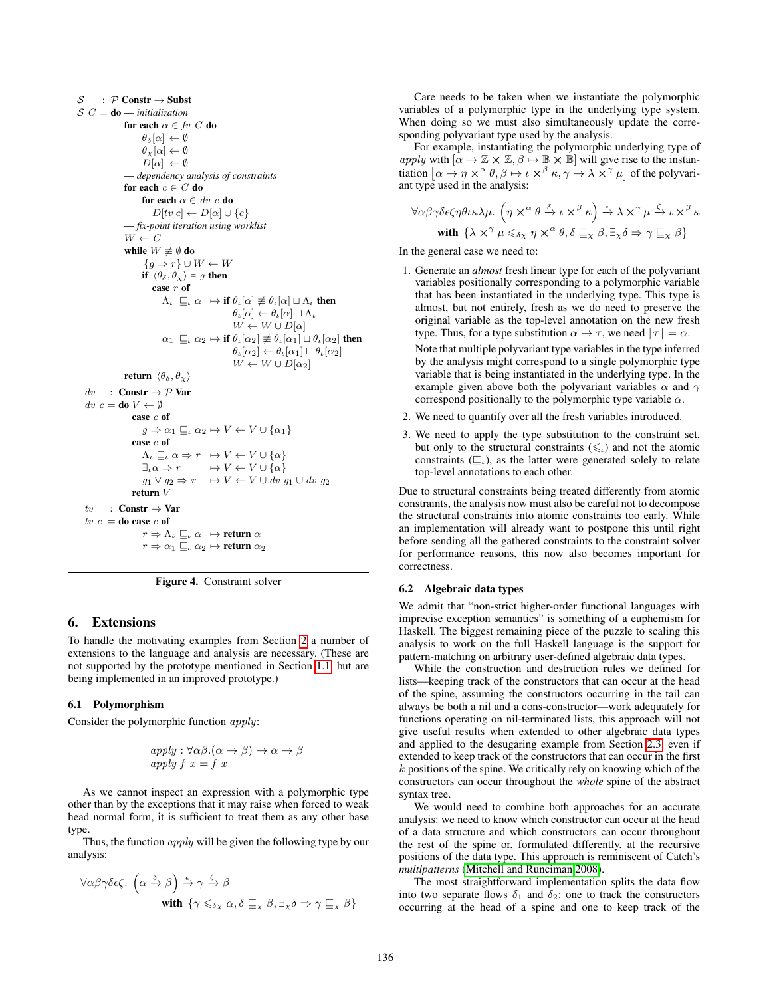$S : \mathcal{P}$  Constr  $\rightarrow$  Subst  $\mathcal{S} C =$ **do** — *initialization* for each  $\alpha \in \mathit{fv}~C$  do  $\theta_\delta[\alpha] \leftarrow \emptyset$  $\theta_\chi[\alpha] \leftarrow \emptyset$  $D[\alpha] \leftarrow \emptyset$ — *dependency analysis of constraints* for each  $c \in C$  do for each  $\alpha \in \mathit{dv}\ c$  do  $D[tv\ c] \leftarrow D[\alpha] \cup \{c\}$ — *fix-point iteration using worklist*  $W \leftarrow C$ while  $W \not\equiv \emptyset$  do  ${g \Rightarrow r} \cup W \leftarrow W$ if  $\langle \theta_{\delta}, \theta_{\chi} \rangle \vDash g$  then case r of  $\Lambda_{\iota} \subseteq_{\iota} \alpha \mapsto \textbf{if } \theta_{\iota}[\alpha] \not\equiv \theta_{\iota}[\alpha] \sqcup \Lambda_{\iota} \textbf{ then}$  $\theta_{\iota}[\alpha] \leftarrow \theta_{\iota}[\alpha] \sqcup \Lambda_{\iota}$  $W \leftarrow W \cup D[\alpha]$  $\alpha_1 \sqsubseteq_{\iota} \alpha_2 \mapsto \textbf{if } \theta_{\iota}[\alpha_2] \not\equiv \theta_{\iota}[\alpha_1] \sqcup \theta_{\iota}[\alpha_2]$  then  $\theta_{\iota}[\alpha_2] \leftarrow \theta_{\iota}[\alpha_1] \sqcup \theta_{\iota}[\alpha_2]$  $W \leftarrow W \cup D[\alpha_2]$ return  $\langle \theta_{\delta}, \theta_{\chi} \rangle$  $dv$  : Constr  $\rightarrow \mathcal{P}$  Var  $dv c =$ **do**  $V \leftarrow \emptyset$ case c of  $g \Rightarrow \alpha_1 \sqsubseteq_{\iota} \alpha_2 \mapsto V \leftarrow V \cup {\alpha_1}$ case c of  $\Lambda_{\iota} \sqsubseteq_{\iota} \alpha \Rightarrow r \mapsto V \leftarrow V \cup {\alpha}$  $\exists_{\iota} \alpha \Rightarrow r \qquad \mapsto V \leftarrow V \cup \{\alpha\}$  $g_1 \vee g_2 \Rightarrow r \quad \mapsto V \leftarrow V \cup dv \ g_1 \cup dv \ g_2$ return V  $tv$  : Constr  $\rightarrow$  Var  $tv\ c =$  do case  $c$  of  $r \Rightarrow \Lambda_\iota \sqsubseteq_\iota \alpha \ \mapsto \textbf{return } \alpha$  $r \Rightarrow \alpha_1 \sqsubseteq_{\iota} \alpha_2 \mapsto$ return $\alpha_2$ 



# 6. Extensions

To handle the motivating examples from Section [2](#page-1-1) a number of extensions to the language and analysis are necessary. (These are not supported by the prototype mentioned in Section [1.1,](#page-1-2) but are being implemented in an improved prototype.)

## <span id="page-9-0"></span>6.1 Polymorphism

Consider the polymorphic function apply:

$$
apply: \forall \alpha \beta. (\alpha \to \beta) \to \alpha \to \beta
$$
  
apply  $f x = f x$ 

As we cannot inspect an expression with a polymorphic type other than by the exceptions that it may raise when forced to weak head normal form, it is sufficient to treat them as any other base type.

Thus, the function *apply* will be given the following type by our analysis:

$$
\forall \alpha \beta \gamma \delta \epsilon \zeta. \ \left( \alpha \stackrel{\delta}{\to} \beta \right) \stackrel{\epsilon}{\to} \gamma \stackrel{\zeta}{\to} \beta
$$
  
with  $\{ \gamma \leq_{\delta_X} \alpha, \delta \sqsubseteq_X \beta, \exists_X \delta \Rightarrow \gamma \sqsubseteq_X \beta \}$ 

Care needs to be taken when we instantiate the polymorphic variables of a polymorphic type in the underlying type system. When doing so we must also simultaneously update the corresponding polyvariant type used by the analysis.

For example, instantiating the polymorphic underlying type of apply with  $[\alpha \mapsto \mathbb{Z} \times \mathbb{Z}, \beta \mapsto \mathbb{B} \times \mathbb{B}]$  will give rise to the instantiation  $[\alpha \mapsto \eta \times^{\alpha} \theta, \beta \mapsto \iota \times^{\beta} \kappa, \gamma \mapsto \lambda \times^{\gamma} \mu]$  of the polyvariant type used in the analysis:

$$
\forall \alpha \beta \gamma \delta \epsilon \zeta \eta \theta \iota \kappa \lambda \mu. \left( \eta \times^{\alpha} \theta \xrightarrow{\delta} \iota \times^{\beta} \kappa \right) \xrightarrow{\epsilon} \lambda \times^{\gamma} \mu \xrightarrow{\zeta} \iota \times^{\beta} \kappa
$$
  
with  $\{\lambda \times^{\gamma} \mu \leq_{\delta \chi} \eta \times^{\alpha} \theta, \delta \sqsubseteq_{\chi} \beta, \exists_{\chi} \delta \Rightarrow \gamma \sqsubseteq_{\chi} \beta \}$ 

In the general case we need to:

1. Generate an *almost* fresh linear type for each of the polyvariant variables positionally corresponding to a polymorphic variable that has been instantiated in the underlying type. This type is almost, but not entirely, fresh as we do need to preserve the original variable as the top-level annotation on the new fresh type. Thus, for a type substitution  $\alpha \mapsto \tau$ , we need  $[\tau] = \alpha$ .

Note that multiple polyvariant type variables in the type inferred by the analysis might correspond to a single polymorphic type variable that is being instantiated in the underlying type. In the example given above both the polyvariant variables  $\alpha$  and  $\gamma$ correspond positionally to the polymorphic type variable  $\alpha$ .

- 2. We need to quantify over all the fresh variables introduced.
- 3. We need to apply the type substitution to the constraint set, but only to the structural constraints  $(\leq_{\iota})$  and not the atomic constraints  $(\sqsubseteq_{\iota})$ , as the latter were generated solely to relate top-level annotations to each other.

Due to structural constraints being treated differently from atomic constraints, the analysis now must also be careful not to decompose the structural constraints into atomic constraints too early. While an implementation will already want to postpone this until right before sending all the gathered constraints to the constraint solver for performance reasons, this now also becomes important for correctness.

#### 6.2 Algebraic data types

We admit that "non-strict higher-order functional languages with imprecise exception semantics" is something of a euphemism for Haskell. The biggest remaining piece of the puzzle to scaling this analysis to work on the full Haskell language is the support for pattern-matching on arbitrary user-defined algebraic data types.

While the construction and destruction rules we defined for lists—keeping track of the constructors that can occur at the head of the spine, assuming the constructors occurring in the tail can always be both a nil and a cons-constructor—work adequately for functions operating on nil-terminated lists, this approach will not give useful results when extended to other algebraic data types and applied to the desugaring example from Section [2.3,](#page-1-3) even if extended to keep track of the constructors that can occur in the first k positions of the spine. We critically rely on knowing which of the constructors can occur throughout the *whole* spine of the abstract syntax tree.

We would need to combine both approaches for an accurate analysis: we need to know which constructor can occur at the head of a data structure and which constructors can occur throughout the rest of the spine or, formulated differently, at the recursive positions of the data type. This approach is reminiscent of Catch's *multipatterns* [\(Mitchell and Runciman 2008\)](#page-11-0).

The most straightforward implementation splits the data flow into two separate flows  $\delta_1$  and  $\delta_2$ : one to track the constructors occurring at the head of a spine and one to keep track of the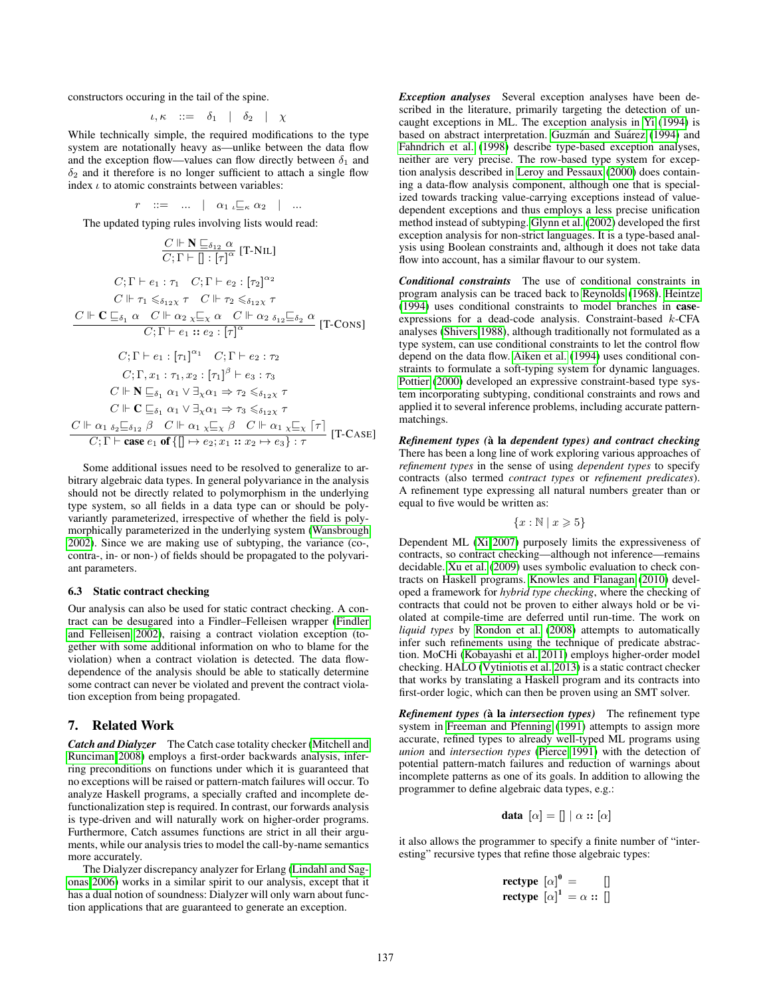constructors occuring in the tail of the spine.

$$
\iota,\kappa\quad::=-\delta_1\quad|\quad\delta_2\quad|\quad\chi
$$

While technically simple, the required modifications to the type system are notationally heavy as—unlike between the data flow and the exception flow—values can flow directly between  $\delta_1$  and  $\delta_2$  and it therefore is no longer sufficient to attach a single flow index  $\iota$  to atomic constraints between variables:

$$
r \quad ::= \quad ... \quad | \quad \alpha_{1} \underset{\iota \sqsubseteq \kappa}{\sqsubseteq} \alpha_{2} \quad | \quad ...
$$

The updated typing rules involving lists would read:

$$
\frac{C \Vdash \mathbf{N} \sqsubseteq_{\delta_{12}} \alpha}{C; \Gamma \vdash [1] : [\tau]^{\alpha}} [\mathbf{T} \cdot \mathbf{N} \mathbf{L}]
$$
\n
$$
C; \Gamma \vdash e_1 : \tau_1 \quad C; \Gamma \vdash e_2 : [\tau_2]^{\alpha_2}
$$
\n
$$
C \Vdash \tau_1 \leqslant_{\delta_{12} \chi} \tau \quad C \Vdash \tau_2 \leqslant_{\delta_{12} \chi} \tau
$$
\n
$$
\frac{C \Vdash \mathbf{C} \sqsubseteq_{\delta_1} \alpha \quad C \Vdash \alpha_2 \underset{\chi \sqsubseteq \chi}{\chi \sqsubseteq \chi} \alpha \quad C \Vdash \alpha_2 \underset{\delta_{12} \sqsubseteq \delta_2}{\delta_2 \alpha} \alpha} [\mathbf{T} \cdot \mathbf{C} \mathbf{N} \mathbf{S}]
$$
\n
$$
C; \Gamma \vdash e_1 :: [\tau_1]^{\alpha_1} \quad C; \Gamma \vdash e_2 : \tau_2
$$
\n
$$
C; \Gamma, x_1 : \tau_1, x_2 : [\tau_1]^{\beta} \vdash e_3 : \tau_3
$$
\n
$$
C \Vdash \mathbf{N} \sqsubseteq_{\delta_1} \alpha_1 \lor \exists_{\chi} \alpha_1 \Rightarrow \tau_2 \leqslant_{\delta_{12} \chi} \tau
$$
\n
$$
C \Vdash \mathbf{C} \sqsubseteq_{\delta_1} \alpha_1 \lor \exists_{\chi} \alpha_1 \Rightarrow \tau_3 \leqslant_{\delta_{12} \chi} \tau
$$
\n
$$
\frac{C \Vdash \alpha_1 \underset{\delta_2 \sqsubseteq \delta_{12}}{\delta_2 \varsubseteq \delta_{12}} \beta \quad C \Vdash \alpha_1 \underset{\chi \sqsubseteq \chi} \beta \quad C \Vdash \alpha_1 \underset{\chi \sqsubseteq \chi} \tau \quad [\mathbf{T} \cdot \mathbf{C} \mathbf{A} \mathbf{S} \mathbf{E}]
$$

Some additional issues need to be resolved to generalize to arbitrary algebraic data types. In general polyvariance in the analysis should not be directly related to polymorphism in the underlying type system, so all fields in a data type can or should be polyvariantly parameterized, irrespective of whether the field is polymorphically parameterized in the underlying system [\(Wansbrough](#page-11-15) [2002\)](#page-11-15). Since we are making use of subtyping, the variance (co-, contra-, in- or non-) of fields should be propagated to the polyvariant parameters.

#### 6.3 Static contract checking

Our analysis can also be used for static contract checking. A contract can be desugared into a Findler–Felleisen wrapper [\(Findler](#page-11-16) [and Felleisen 2002\)](#page-11-16), raising a contract violation exception (together with some additional information on who to blame for the violation) when a contract violation is detected. The data flowdependence of the analysis should be able to statically determine some contract can never be violated and prevent the contract violation exception from being propagated.

## 7. Related Work

*Catch and Dialyzer* The Catch case totality checker [\(Mitchell and](#page-11-0) [Runciman 2008\)](#page-11-0) employs a first-order backwards analysis, inferring preconditions on functions under which it is guaranteed that no exceptions will be raised or pattern-match failures will occur. To analyze Haskell programs, a specially crafted and incomplete defunctionalization step is required. In contrast, our forwards analysis is type-driven and will naturally work on higher-order programs. Furthermore, Catch assumes functions are strict in all their arguments, while our analysis tries to model the call-by-name semantics more accurately.

The Dialyzer discrepancy analyzer for Erlang [\(Lindahl and Sag](#page-11-17)[onas 2006\)](#page-11-17) works in a similar spirit to our analysis, except that it has a dual notion of soundness: Dialyzer will only warn about function applications that are guaranteed to generate an exception.

*Exception analyses* Several exception analyses have been described in the literature, primarily targeting the detection of uncaught exceptions in ML. The exception analysis in [Yi](#page-11-18) [\(1994\)](#page-11-18) is based on abstract interpretation. Guzmán and Suárez [\(1994\)](#page-11-19) and [Fahndrich et al.](#page-11-20) [\(1998\)](#page-11-20) describe type-based exception analyses, neither are very precise. The row-based type system for exception analysis described in [Leroy and Pessaux](#page-11-10) [\(2000\)](#page-11-10) does containing a data-flow analysis component, although one that is specialized towards tracking value-carrying exceptions instead of valuedependent exceptions and thus employs a less precise unification method instead of subtyping. [Glynn et al.](#page-11-21) [\(2002\)](#page-11-21) developed the first exception analysis for non-strict languages. It is a type-based analysis using Boolean constraints and, although it does not take data flow into account, has a similar flavour to our system.

*Conditional constraints* The use of conditional constraints in program analysis can be traced back to [Reynolds](#page-11-22) [\(1968\)](#page-11-22). [Heintze](#page-11-23) [\(1994\)](#page-11-23) uses conditional constraints to model branches in caseexpressions for a dead-code analysis. Constraint-based k-CFA analyses [\(Shivers 1988\)](#page-11-24), although traditionally not formulated as a type system, can use conditional constraints to let the control flow depend on the data flow. [Aiken et al.](#page-11-25) [\(1994\)](#page-11-25) uses conditional constraints to formulate a soft-typing system for dynamic languages. [Pottier](#page-11-26) [\(2000\)](#page-11-26) developed an expressive constraint-based type system incorporating subtyping, conditional constraints and rows and applied it to several inference problems, including accurate patternmatchings.

*Refinement types (*a la ` *dependent types) and contract checking* There has been a long line of work exploring various approaches of *refinement types* in the sense of using *dependent types* to specify contracts (also termed *contract types* or *refinement predicates*). A refinement type expressing all natural numbers greater than or equal to five would be written as:

$$
\{x : \mathbb{N} \mid x \geqslant 5\}
$$

Dependent ML [\(Xi 2007\)](#page-11-27) purposely limits the expressiveness of contracts, so contract checking—although not inference—remains decidable. [Xu et al.](#page-11-28) [\(2009\)](#page-11-28) uses symbolic evaluation to check contracts on Haskell programs. [Knowles and Flanagan](#page-11-29) [\(2010\)](#page-11-29) developed a framework for *hybrid type checking*, where the checking of contracts that could not be proven to either always hold or be violated at compile-time are deferred until run-time. The work on *liquid types* by [Rondon et al.](#page-11-30) [\(2008\)](#page-11-30) attempts to automatically infer such refinements using the technique of predicate abstraction. MoCHi [\(Kobayashi et al. 2011\)](#page-11-31) employs higher-order model checking. HALO [\(Vytiniotis et al. 2013\)](#page-11-32) is a static contract checker that works by translating a Haskell program and its contracts into first-order logic, which can then be proven using an SMT solver.

*Refinement types (à la intersection types)* The refinement type system in [Freeman and Pfenning](#page-11-1) [\(1991\)](#page-11-1) attempts to assign more accurate, refined types to already well-typed ML programs using *union* and *intersection types* [\(Pierce 1991\)](#page-11-33) with the detection of potential pattern-match failures and reduction of warnings about incomplete patterns as one of its goals. In addition to allowing the programmer to define algebraic data types, e.g.:

$$
\mathbf{data} \ [\alpha] = [] \ [\alpha :: [\alpha]
$$

it also allows the programmer to specify a finite number of "interesting" recursive types that refine those algebraic types:

**rectype** 
$$
[\alpha]^0 =
$$
 []  
**rectype**  $[\alpha]^1 = \alpha ::$  []